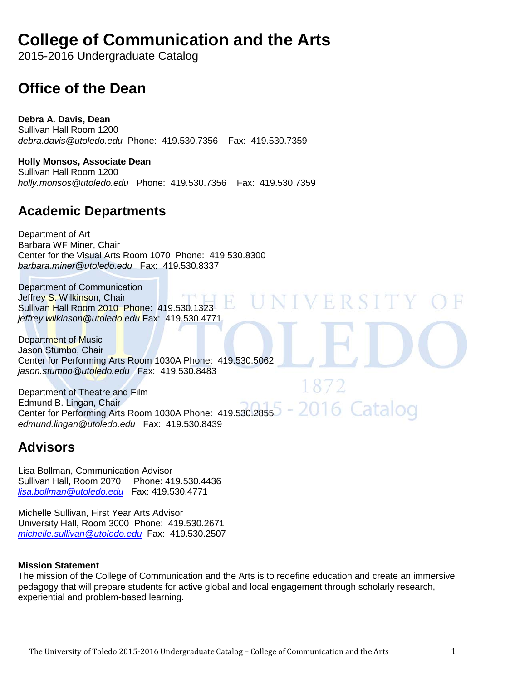# **College of Communication and the Arts**

2015-2016 Undergraduate Catalog

# **Office of the Dean**

**Debra A. Davis, Dean**  Sullivan Hall Room 1200 *debra.davis@utoledo.edu* Phone: 419.530.7356 Fax: 419.530.7359

**Holly Monsos, Associate Dean**  Sullivan Hall Room 1200 *holly.monsos@utoledo.edu* Phone: 419.530.7356 Fax: 419.530.7359

## **Academic Departments**

Department of Art Barbara WF Miner, Chair Center for the Visual Arts Room 1070 Phone: 419.530.8300 *barbara.miner@utoledo.edu* Fax: 419.530.8337

Department of Communication Jeffrey S. Wilkinson, Chair Sullivan Hall Room 2010 Phone: 419.530.1323 *jeffrey.wilkinson@utoledo.edu* Fax: 419.530.4771

Department of Music Jason Stumbo, Chair Center for Performing Arts Room 1030A Phone: 419.530.5062 *jason.stumbo@utoledo.edu* Fax: 419.530.8483

Department of Theatre and Film Edmund B. Lingan, Chair Center for Performing Arts Room 1030A Phone: 419.530.2855 *edmund.lingan@utoledo.edu* Fax: 419.530.8439

## **Advisors**

Lisa Bollman, Communication Advisor Sullivan Hall, Room 2070 Phone: 419.530.4436 *[lisa.bollman@utoledo.edu](mailto:lisa.bollman@utoledo.edu)* Fax: 419.530.4771

Michelle Sullivan, First Year Arts Advisor University Hall, Room 3000 Phone: 419.530.2671 *[michelle.sullivan@utoledo.edu](mailto:michelle.sullivan@utoledo.edu)* Fax: 419.530.2507

#### **Mission Statement**

The mission of the College of Communication and the Arts is to redefine education and create an immersive pedagogy that will prepare students for active global and local engagement through scholarly research, experiential and problem-based learning.

VERSITY

2016 Catalog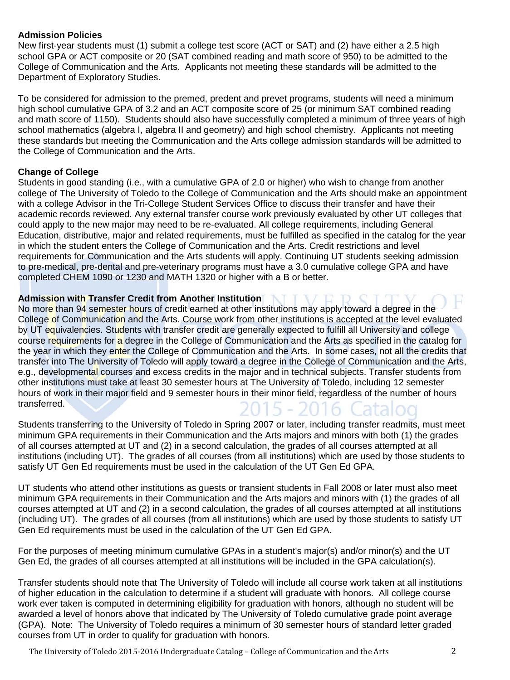#### **Admission Policies**

New first-year students must (1) submit a college test score (ACT or SAT) and (2) have either a 2.5 high school GPA or ACT composite or 20 (SAT combined reading and math score of 950) to be admitted to the College of Communication and the Arts. Applicants not meeting these standards will be admitted to the Department of Exploratory Studies.

To be considered for admission to the premed, predent and prevet programs, students will need a minimum high school cumulative GPA of 3.2 and an ACT composite score of 25 (or minimum SAT combined reading and math score of 1150). Students should also have successfully completed a minimum of three years of high school mathematics (algebra I, algebra II and geometry) and high school chemistry. Applicants not meeting these standards but meeting the Communication and the Arts college admission standards will be admitted to the College of Communication and the Arts.

#### **Change of College**

Students in good standing (i.e., with a cumulative GPA of 2.0 or higher) who wish to change from another college of The University of Toledo to the College of Communication and the Arts should make an appointment with a college Advisor in the Tri-College Student Services Office to discuss their transfer and have their academic records reviewed. Any external transfer course work previously evaluated by other UT colleges that could apply to the new major may need to be re-evaluated. All college requirements, including General Education, distributive, major and related requirements, must be fulfilled as specified in the catalog for the year in which the student enters the College of Communication and the Arts. Credit restrictions and level requirements for Communication and the Arts students will apply. Continuing UT students seeking admission to pre-medical, pre-dental and pre-veterinary programs must have a 3.0 cumulative college GPA and have completed CHEM 1090 or 1230 and MATH 1320 or higher with a B or better.

#### **Admission with Transfer Credit from Another Institution**

No more than 94 semester hours of credit earned at other institutions may apply toward a degree in the College of Communication and the Arts. Course work from other institutions is accepted at the level evaluated by UT equivalencies. Students with transfer credit are generally expected to fulfill all University and college course requirements for a degree in the College of Communication and the Arts as specified in the catalog for the year in which they enter the College of Communication and the Arts. In some cases, not all the credits that transfer into The University of Toledo will apply toward a degree in the College of Communication and the Arts, e.g., developmental courses and excess credits in the major and in technical subjects. Transfer students from other institutions must take at least 30 semester hours at The University of Toledo, including 12 semester hours of work in their major field and 9 semester hours in their minor field, regardless of the number of hours transferred. 2015 - 2016 Cataloo

Students transferring to the University of Toledo in Spring 2007 or later, including transfer readmits, must meet minimum GPA requirements in their Communication and the Arts majors and minors with both (1) the grades of all courses attempted at UT and (2) in a second calculation, the grades of all courses attempted at all institutions (including UT). The grades of all courses (from all institutions) which are used by those students to satisfy UT Gen Ed requirements must be used in the calculation of the UT Gen Ed GPA.

UT students who attend other institutions as guests or transient students in Fall 2008 or later must also meet minimum GPA requirements in their Communication and the Arts majors and minors with (1) the grades of all courses attempted at UT and (2) in a second calculation, the grades of all courses attempted at all institutions (including UT). The grades of all courses (from all institutions) which are used by those students to satisfy UT Gen Ed requirements must be used in the calculation of the UT Gen Ed GPA.

For the purposes of meeting minimum cumulative GPAs in a student's major(s) and/or minor(s) and the UT Gen Ed, the grades of all courses attempted at all institutions will be included in the GPA calculation(s).

Transfer students should note that The University of Toledo will include all course work taken at all institutions of higher education in the calculation to determine if a student will graduate with honors. All college course work ever taken is computed in determining eligibility for graduation with honors, although no student will be awarded a level of honors above that indicated by The University of Toledo cumulative grade point average (GPA). Note: The University of Toledo requires a minimum of 30 semester hours of standard letter graded courses from UT in order to qualify for graduation with honors.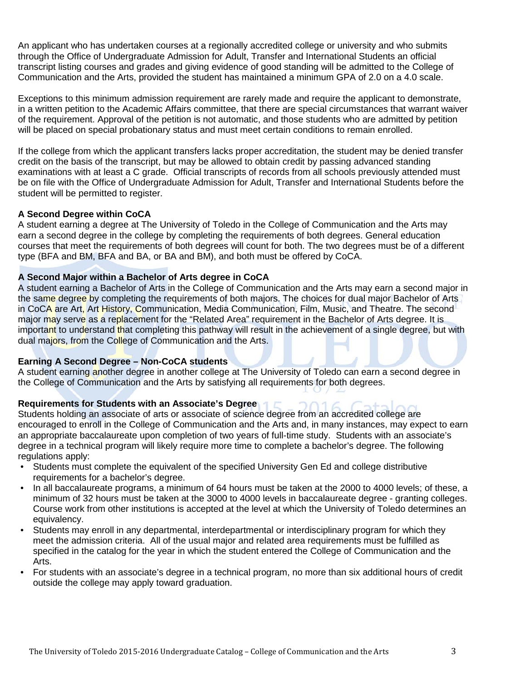An applicant who has undertaken courses at a regionally accredited college or university and who submits through the Office of Undergraduate Admission for Adult, Transfer and International Students an official transcript listing courses and grades and giving evidence of good standing will be admitted to the College of Communication and the Arts, provided the student has maintained a minimum GPA of 2.0 on a 4.0 scale.

Exceptions to this minimum admission requirement are rarely made and require the applicant to demonstrate, in a written petition to the Academic Affairs committee, that there are special circumstances that warrant waiver of the requirement. Approval of the petition is not automatic, and those students who are admitted by petition will be placed on special probationary status and must meet certain conditions to remain enrolled.

If the college from which the applicant transfers lacks proper accreditation, the student may be denied transfer credit on the basis of the transcript, but may be allowed to obtain credit by passing advanced standing examinations with at least a C grade. Official transcripts of records from all schools previously attended must be on file with the Office of Undergraduate Admission for Adult, Transfer and International Students before the student will be permitted to register.

#### **A Second Degree within CoCA**

A student earning a degree at The University of Toledo in the College of Communication and the Arts may earn a second degree in the college by completing the requirements of both degrees. General education courses that meet the requirements of both degrees will count for both. The two degrees must be of a different type (BFA and BM, BFA and BA, or BA and BM), and both must be offered by CoCA.

#### **A Second Major within a Bachelor of Arts degree in CoCA**

A student earning a Bachelor of Arts in the College of Communication and the Arts may earn a second major in the same degree by completing the requirements of both majors. The choices for dual major Bachelor of Arts in CoCA are Art, Art History, Communication, Media Communication, Film, Music, and Theatre. The second major may serve as a replacement for the "Related Area" requirement in the Bachelor of Arts degree. It is important to understand that completing this pathway will result in the achievement of a single degree, but with dual majors, from the College of Communication and the Arts.

#### **Earning A Second Degree – Non-CoCA students**

A student earning another degree in another college at The University of Toledo can earn a second degree in the College of Communication and the Arts by satisfying all requirements for both degrees.

#### **Requirements for Students with an Associate's Degree**

Students holding an associate of arts or associate of science degree from an accredited college are encouraged to enroll in the College of Communication and the Arts and, in many instances, may expect to earn an appropriate baccalaureate upon completion of two years of full-time study. Students with an associate's degree in a technical program will likely require more time to complete a bachelor's degree. The following regulations apply:

- Students must complete the equivalent of the specified University Gen Ed and college distributive requirements for a bachelor's degree.
- In all baccalaureate programs, a minimum of 64 hours must be taken at the 2000 to 4000 levels; of these, a minimum of 32 hours must be taken at the 3000 to 4000 levels in baccalaureate degree - granting colleges. Course work from other institutions is accepted at the level at which the University of Toledo determines an equivalency.
- Students may enroll in any departmental, interdepartmental or interdisciplinary program for which they meet the admission criteria. All of the usual major and related area requirements must be fulfilled as specified in the catalog for the year in which the student entered the College of Communication and the Arts.
- For students with an associate's degree in a technical program, no more than six additional hours of credit outside the college may apply toward graduation.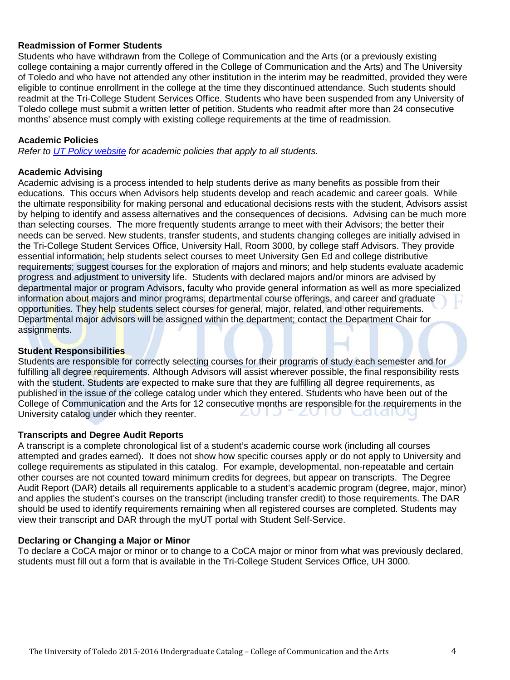#### **Readmission of Former Students**

Students who have withdrawn from the College of Communication and the Arts (or a previously existing college containing a major currently offered in the College of Communication and the Arts) and The University of Toledo and who have not attended any other institution in the interim may be readmitted, provided they were eligible to continue enrollment in the college at the time they discontinued attendance. Such students should readmit at the Tri-College Student Services Office. Students who have been suspended from any University of Toledo college must submit a written letter of petition. Students who readmit after more than 24 consecutive months' absence must comply with existing college requirements at the time of readmission.

#### **Academic Policies**

*Refer to [UT Policy website](http://utoledo.edu/policies/) for academic policies that apply to all students.*

#### **Academic Advising**

Academic advising is a process intended to help students derive as many benefits as possible from their educations. This occurs when Advisors help students develop and reach academic and career goals. While the ultimate responsibility for making personal and educational decisions rests with the student, Advisors assist by helping to identify and assess alternatives and the consequences of decisions. Advising can be much more than selecting courses. The more frequently students arrange to meet with their Advisors; the better their needs can be served. New students, transfer students, and students changing colleges are initially advised in the Tri-College Student Services Office, University Hall, Room 3000, by college staff Advisors. They provide essential information; help students select courses to meet University Gen Ed and college distributive requirements; suggest courses for the exploration of majors and minors; and help students evaluate academic progress and adjustment to university life. Students with declared majors and/or minors are advised by departmental major or program Advisors, faculty who provide general information as well as more specialized information about majors and minor programs, departmental course offerings, and career and graduate opportunities. They help students select courses for general, major, related, and other requirements. Departmental major advisors will be assigned within the department; contact the Department Chair for assignments.

#### **Student Responsibilities**

Students are responsible for correctly selecting courses for their programs of study each semester and for fulfilling all degree requirements. Although Advisors will assist wherever possible, the final responsibility rests with the student. Students are expected to make sure that they are fulfilling all degree requirements, as published in the issue of the college catalog under which they entered. Students who have been out of the College of Communication and the Arts for 12 consecutive months are responsible for the requirements in the University catalog under which they reenter University catalog under which they reenter.  $\Box$ **ZU** 

#### **Transcripts and Degree Audit Reports**

A transcript is a complete chronological list of a student's academic course work (including all courses attempted and grades earned). It does not show how specific courses apply or do not apply to University and college requirements as stipulated in this catalog. For example, developmental, non-repeatable and certain other courses are not counted toward minimum credits for degrees, but appear on transcripts. The Degree Audit Report (DAR) details all requirements applicable to a student's academic program (degree, major, minor) and applies the student's courses on the transcript (including transfer credit) to those requirements. The DAR should be used to identify requirements remaining when all registered courses are completed. Students may view their transcript and DAR through the myUT portal with Student Self-Service.

#### **Declaring or Changing a Major or Minor**

To declare a CoCA major or minor or to change to a CoCA major or minor from what was previously declared, students must fill out a form that is available in the Tri-College Student Services Office, UH 3000.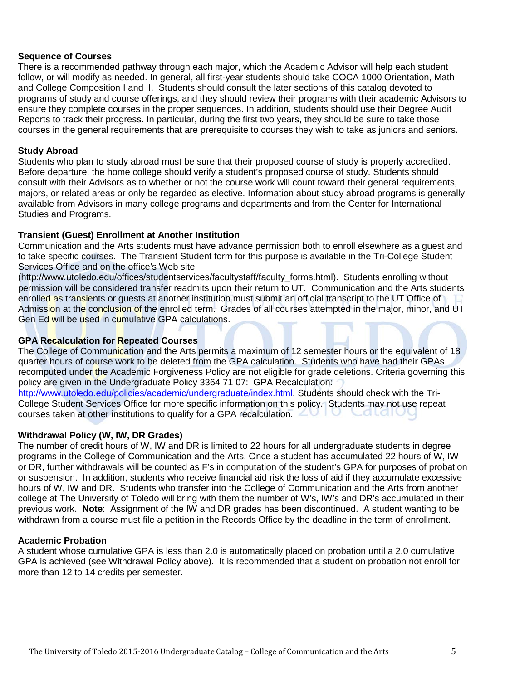#### **Sequence of Courses**

There is a recommended pathway through each major, which the Academic Advisor will help each student follow, or will modify as needed. In general, all first-year students should take COCA 1000 Orientation, Math and College Composition I and II. Students should consult the later sections of this catalog devoted to programs of study and course offerings, and they should review their programs with their academic Advisors to ensure they complete courses in the proper sequences. In addition, students should use their Degree Audit Reports to track their progress. In particular, during the first two years, they should be sure to take those courses in the general requirements that are prerequisite to courses they wish to take as juniors and seniors.

#### **Study Abroad**

Students who plan to study abroad must be sure that their proposed course of study is properly accredited. Before departure, the home college should verify a student's proposed course of study. Students should consult with their Advisors as to whether or not the course work will count toward their general requirements, majors, or related areas or only be regarded as elective. Information about study abroad programs is generally available from Advisors in many college programs and departments and from the Center for International Studies and Programs.

#### **Transient (Guest) Enrollment at Another Institution**

Communication and the Arts students must have advance permission both to enroll elsewhere as a guest and to take specific courses. The Transient Student form for this purpose is available in the Tri-College Student Services Office and on the office's Web site

(http://www.utoledo.edu/offices/studentservices/facultystaff/faculty\_forms.html). Students enrolling without permission will be considered transfer readmits upon their return to UT. Communication and the Arts students enrolled as transients or guests at another institution must submit an official transcript to the UT Office of Admission at the conclusion of the enrolled term. Grades of all courses attempted in the major, minor, and UT Gen Ed will be used in cumulative GPA calculations.

#### **GPA Recalculation for Repeated Courses**

The College of Communication and the Arts permits a maximum of 12 semester hours or the equivalent of 18 quarter hours of course work to be deleted from the GPA calculation. Students who have had their GPAs recomputed under the Academic Forgiveness Policy are not eligible for grade deletions. Criteria governing this policy are given in the Undergraduate Policy 3364 71 07: GPA Recalculation:

[http://www.utoledo.edu/policies/academic/undergraduate/index.html.](http://www.utoledo.edu/policies/academic/undergraduate/index.html) Students should check with the Tri-College Student Services Office for more specific information on this policy. Students may not use repeat courses taken at other institutions to qualify for a GPA recalculation.

#### **Withdrawal Policy (W, IW, DR Grades)**

The number of credit hours of W, IW and DR is limited to 22 hours for all undergraduate students in degree programs in the College of Communication and the Arts. Once a student has accumulated 22 hours of W, IW or DR, further withdrawals will be counted as F's in computation of the student's GPA for purposes of probation or suspension. In addition, students who receive financial aid risk the loss of aid if they accumulate excessive hours of W, IW and DR. Students who transfer into the College of Communication and the Arts from another college at The University of Toledo will bring with them the number of W's, IW's and DR's accumulated in their previous work. **Note**: Assignment of the IW and DR grades has been discontinued. A student wanting to be withdrawn from a course must file a petition in the Records Office by the deadline in the term of enrollment.

#### **Academic Probation**

A student whose cumulative GPA is less than 2.0 is automatically placed on probation until a 2.0 cumulative GPA is achieved (see Withdrawal Policy above). It is recommended that a student on probation not enroll for more than 12 to 14 credits per semester.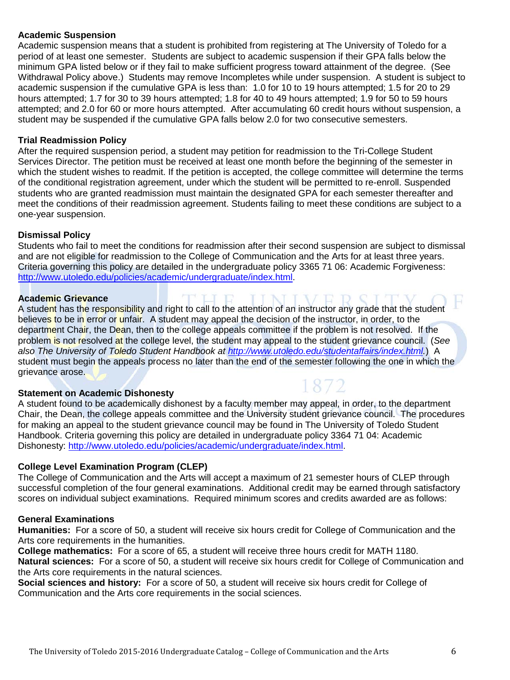#### **Academic Suspension**

Academic suspension means that a student is prohibited from registering at The University of Toledo for a period of at least one semester. Students are subject to academic suspension if their GPA falls below the minimum GPA listed below or if they fail to make sufficient progress toward attainment of the degree. (See Withdrawal Policy above.) Students may remove Incompletes while under suspension. A student is subject to academic suspension if the cumulative GPA is less than: 1.0 for 10 to 19 hours attempted; 1.5 for 20 to 29 hours attempted; 1.7 for 30 to 39 hours attempted; 1.8 for 40 to 49 hours attempted; 1.9 for 50 to 59 hours attempted; and 2.0 for 60 or more hours attempted. After accumulating 60 credit hours without suspension, a student may be suspended if the cumulative GPA falls below 2.0 for two consecutive semesters.

#### **Trial Readmission Policy**

After the required suspension period, a student may petition for readmission to the Tri-College Student Services Director. The petition must be received at least one month before the beginning of the semester in which the student wishes to readmit. If the petition is accepted, the college committee will determine the terms of the conditional registration agreement, under which the student will be permitted to re-enroll. Suspended students who are granted readmission must maintain the designated GPA for each semester thereafter and meet the conditions of their readmission agreement. Students failing to meet these conditions are subject to a one-year suspension.

#### **Dismissal Policy**

Students who fail to meet the conditions for readmission after their second suspension are subject to dismissal and are not eligible for readmission to the College of Communication and the Arts for at least three years. Criteria governing this policy are detailed in the undergraduate policy 3365 71 06: Academic Forgiveness: [http://www.utoledo.edu/policies/academic/undergraduate/index.html.](http://www.utoledo.edu/policies/academic/undergraduate/index.html)

#### **Academic Grievance**

A student has the responsibility and right to call to the attention of an instructor any grade that the student believes to be in error or unfair. A student may appeal the decision of the instructor, in order, to the department Chair, the Dean, then to the college appeals committee if the problem is not resolved. If the problem is not resolved at the college level, the student may appeal to the student grievance council. (*See also The University of Toledo Student Handbook at [http://www.utoledo.edu/studentaffairs/index.html.](http://www.utoledo.edu/studentaffairs/index.html)*) A student must begin the appeals process no later than the end of the semester following the one in which the grievance arose.

#### **Statement on Academic Dishonesty**

A student found to be academically dishonest by a faculty member may appeal, in order, to the department Chair, the Dean, the college appeals committee and the University student grievance council. The procedures for making an appeal to the student grievance council may be found in The University of Toledo Student Handbook. Criteria governing this policy are detailed in undergraduate policy 3364 71 04: Academic Dishonesty: [http://www.utoledo.edu/policies/academic/undergraduate/index.html.](http://www.utoledo.edu/policies/academic/undergraduate/index.html)

#### **College Level Examination Program (CLEP)**

The College of Communication and the Arts will accept a maximum of 21 semester hours of CLEP through successful completion of the four general examinations. Additional credit may be earned through satisfactory scores on individual subject examinations. Required minimum scores and credits awarded are as follows:

#### **General Examinations**

**Humanities:** For a score of 50, a student will receive six hours credit for College of Communication and the Arts core requirements in the humanities.

**College mathematics:** For a score of 65, a student will receive three hours credit for MATH 1180. **Natural sciences:** For a score of 50, a student will receive six hours credit for College of Communication and the Arts core requirements in the natural sciences.

**Social sciences and history:** For a score of 50, a student will receive six hours credit for College of Communication and the Arts core requirements in the social sciences.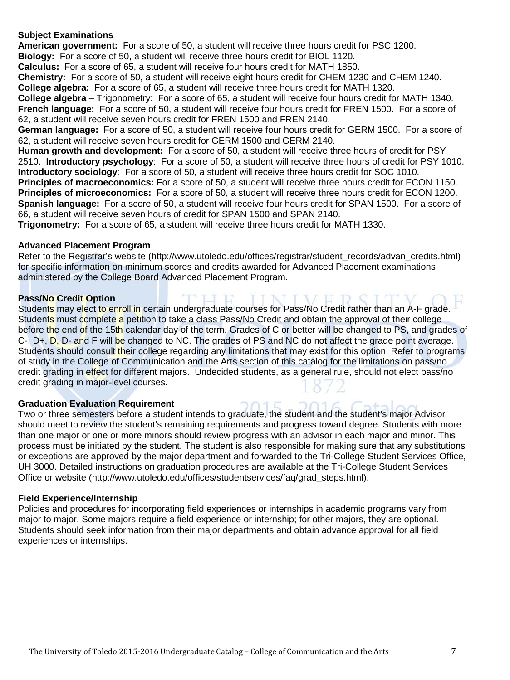#### **Subject Examinations**

**American government:** For a score of 50, a student will receive three hours credit for PSC 1200. **Biology:** For a score of 50, a student will receive three hours credit for BIOL 1120.

**Calculus:** For a score of 65, a student will receive four hours credit for MATH 1850.

**Chemistry:** For a score of 50, a student will receive eight hours credit for CHEM 1230 and CHEM 1240.

**College algebra:** For a score of 65, a student will receive three hours credit for MATH 1320.

**College algebra** – Trigonometry: For a score of 65, a student will receive four hours credit for MATH 1340. **French language:** For a score of 50, a student will receive four hours credit for FREN 1500. For a score of 62, a student will receive seven hours credit for FREN 1500 and FREN 2140.

**German language:** For a score of 50, a student will receive four hours credit for GERM 1500. For a score of 62, a student will receive seven hours credit for GERM 1500 and GERM 2140.

**Human growth and development:** For a score of 50, a student will receive three hours of credit for PSY 2510. **Introductory psychology**: For a score of 50, a student will receive three hours of credit for PSY 1010. **Introductory sociology**: For a score of 50, a student will receive three hours credit for SOC 1010. **Principles of macroeconomics:** For a score of 50, a student will receive three hours credit for ECON 1150. **Principles of microeconomics:** For a score of 50, a student will receive three hours credit for ECON 1200. **Spanish language:** For a score of 50, a student will receive four hours credit for SPAN 1500. For a score of 66, a student will receive seven hours of credit for SPAN 1500 and SPAN 2140.

**Trigonometry:** For a score of 65, a student will receive three hours credit for MATH 1330.

#### **Advanced Placement Program**

Refer to the Registrar's website (http://www.utoledo.edu/offices/registrar/student\_records/advan\_credits.html) for specific information on minimum scores and credits awarded for Advanced Placement examinations administered by the College Board Advanced Placement Program.

#### **Pass/No Credit Option**

Students may elect to enroll in certain undergraduate courses for Pass/No Credit rather than an A-F grade. Students must complete a petition to take a class Pass/No Credit and obtain the approval of their college before the end of the 15th calendar day of the term. Grades of C or better will be changed to PS, and grades of C-, D+, D, D- and F will be changed to NC. The grades of PS and NC do not affect the grade point average. Students should consult their college regarding any limitations that may exist for this option. Refer to programs of study in the College of Communication and the Arts section of this catalog for the limitations on pass/no credit grading in effect for different majors. Undecided students, as a general rule, should not elect pass/no credit grading in major-level courses.

#### **Graduation Evaluation Requirement**

Two or three semesters before a student intends to graduate, the student and the student's major Advisor should meet to review the student's remaining requirements and progress toward degree. Students with more than one major or one or more minors should review progress with an advisor in each major and minor. This process must be initiated by the student. The student is also responsible for making sure that any substitutions or exceptions are approved by the major department and forwarded to the Tri-College Student Services Office, UH 3000. Detailed instructions on graduation procedures are available at the Tri-College Student Services Office or website (http://www.utoledo.edu/offices/studentservices/faq/grad\_steps.html).

#### **Field Experience/Internship**

Policies and procedures for incorporating field experiences or internships in academic programs vary from major to major. Some majors require a field experience or internship; for other majors, they are optional. Students should seek information from their major departments and obtain advance approval for all field experiences or internships.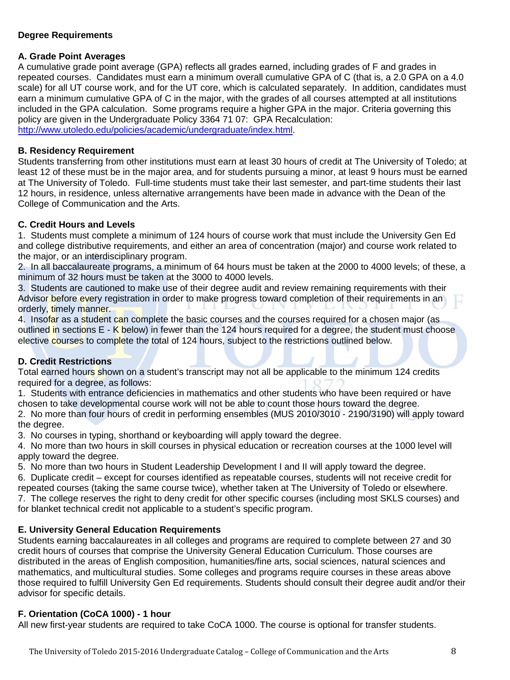#### **Degree Requirements**

#### **A. Grade Point Averages**

A cumulative grade point average (GPA) reflects all grades earned, including grades of F and grades in repeated courses. Candidates must earn a minimum overall cumulative GPA of C (that is, a 2.0 GPA on a 4.0 scale) for all UT course work, and for the UT core, which is calculated separately. In addition, candidates must earn a minimum cumulative GPA of C in the major, with the grades of all courses attempted at all institutions included in the GPA calculation. Some programs require a higher GPA in the major. Criteria governing this policy are given in the Undergraduate Policy 3364 71 07: GPA Recalculation: [http://www.utoledo.edu/policies/academic/undergraduate/index.html.](http://www.utoledo.edu/policies/academic/undergraduate/index.html)

#### **B. Residency Requirement**

Students transferring from other institutions must earn at least 30 hours of credit at The University of Toledo; at least 12 of these must be in the major area, and for students pursuing a minor, at least 9 hours must be earned at The University of Toledo. Full-time students must take their last semester, and part-time students their last 12 hours, in residence, unless alternative arrangements have been made in advance with the Dean of the College of Communication and the Arts.

#### **C. Credit Hours and Levels**

1. Students must complete a minimum of 124 hours of course work that must include the University Gen Ed and college distributive requirements, and either an area of concentration (major) and course work related to the major, or an interdisciplinary program.

2. In all baccalaureate programs, a minimum of 64 hours must be taken at the 2000 to 4000 levels; of these, a minimum of 32 hours must be taken at the 3000 to 4000 levels.

3. Students are cautioned to make use of their degree audit and review remaining requirements with their Advisor before every registration in order to make progress toward completion of their requirements in an orderly, timely manner.

4. Insofar as a student can complete the basic courses and the courses required for a chosen major (as outlined in sections E - K below) in fewer than the 124 hours required for a degree, the student must choose elective courses to complete the total of 124 hours, subject to the restrictions outlined below.

#### **D. Credit Restrictions**

Total earned hours shown on a student's transcript may not all be applicable to the minimum 124 credits required for a degree, as follows:

1. Students with entrance deficiencies in mathematics and other students who have been required or have chosen to take developmental course work will not be able to count those hours toward the degree.

2. No more than four hours of credit in performing ensembles (MUS 2010/3010 - 2190/3190) will apply toward the degree.

3. No courses in typing, shorthand or keyboarding will apply toward the degree.

4. No more than two hours in skill courses in physical education or recreation courses at the 1000 level will apply toward the degree.

5. No more than two hours in Student Leadership Development I and II will apply toward the degree.

6. Duplicate credit – except for courses identified as repeatable courses, students will not receive credit for repeated courses (taking the same course twice), whether taken at The University of Toledo or elsewhere.

7. The college reserves the right to deny credit for other specific courses (including most SKLS courses) and for blanket technical credit not applicable to a student's specific program.

#### **E. University General Education Requirements**

Students earning baccalaureates in all colleges and programs are required to complete between 27 and 30 credit hours of courses that comprise the University General Education Curriculum. Those courses are distributed in the areas of English composition, humanities/fine arts, social sciences, natural sciences and mathematics, and multicultural studies. Some colleges and programs require courses in these areas above those required to fulfill University Gen Ed requirements. Students should consult their degree audit and/or their advisor for specific details.

#### **F. Orientation (CoCA 1000) - 1 hour**

All new first-year students are required to take CoCA 1000. The course is optional for transfer students.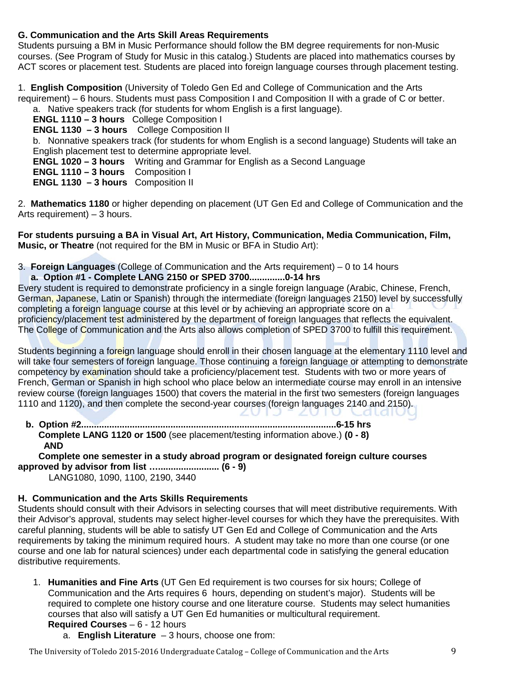#### **G. Communication and the Arts Skill Areas Requirements**

Students pursuing a BM in Music Performance should follow the BM degree requirements for non-Music courses. (See Program of Study for Music in this catalog.) Students are placed into mathematics courses by ACT scores or placement test. Students are placed into foreign language courses through placement testing.

1. **English Composition** (University of Toledo Gen Ed and College of Communication and the Arts requirement) – 6 hours. Students must pass Composition I and Composition II with a grade of C or better.

a. Native speakers track (for students for whom English is a first language).

**ENGL 1110 – 3 hours** College Composition I

**ENGL 1130 – 3 hours** College Composition II

b. Nonnative speakers track (for students for whom English is a second language) Students will take an English placement test to determine appropriate level.

**ENGL 1020 – 3 hours** Writing and Grammar for English as a Second Language

**ENGL 1110 – 3 hours** Composition I

**ENGL 1130 – 3 hours** Composition II

2. **Mathematics 1180** or higher depending on placement (UT Gen Ed and College of Communication and the Arts requirement) – 3 hours.

**For students pursuing a BA in Visual Art, Art History, Communication, Media Communication, Film, Music, or Theatre** (not required for the BM in Music or BFA in Studio Art):

3. **Foreign Languages** (College of Communication and the Arts requirement) – 0 to 14 hours **a. Option #1 - Complete LANG 2150 or SPED 3700..............0-14 hrs**

Every student is required to demonstrate proficiency in a single foreign language (Arabic, Chinese, French, German, Japanese, Latin or Spanish) through the intermediate (foreign languages 2150) level by successfully completing a foreign language course at this level or by achieving an appropriate score on a proficiency/placement test administered by the department of foreign languages that reflects the equivalent. The College of Communication and the Arts also allows completion of SPED 3700 to fulfill this requirement.

Students beginning a foreign language should enroll in their chosen language at the elementary 1110 level and will take four semesters of foreign language. Those continuing a foreign language or attempting to demonstrate competency by examination should take a proficiency/placement test. Students with two or more vears of French, German or Spanish in high school who place below an intermediate course may enroll in an intensive review course (foreign languages 1500) that covers the material in the first two semesters (foreign languages 1110 and 1120), and then complete the second-year courses (foreign languages 2140 and 2150).  $\Box$ 

 **b. Option #2....................................................................................................6-15 hrs Complete LANG 1120 or 1500** (see placement/testing information above.) **(0 - 8) AND**

 **Complete one semester in a study abroad program or designated foreign culture courses approved by advisor from list …........................ (6 - 9)**

LANG1080, 1090, 1100, 2190, 3440

#### **H. Communication and the Arts Skills Requirements**

Students should consult with their Advisors in selecting courses that will meet distributive requirements. With their Advisor's approval, students may select higher-level courses for which they have the prerequisites. With careful planning, students will be able to satisfy UT Gen Ed and College of Communication and the Arts requirements by taking the minimum required hours. A student may take no more than one course (or one course and one lab for natural sciences) under each departmental code in satisfying the general education distributive requirements.

1. **Humanities and Fine Arts** (UT Gen Ed requirement is two courses for six hours; College of Communication and the Arts requires 6 hours, depending on student's major). Students will be required to complete one history course and one literature course. Students may select humanities courses that also will satisfy a UT Gen Ed humanities or multicultural requirement.

#### **Required Courses** – 6 - 12 hours

a. **English Literature** – 3 hours, choose one from:

The University of Toledo 2015-2016 Undergraduate Catalog – College of Communication and the Arts 9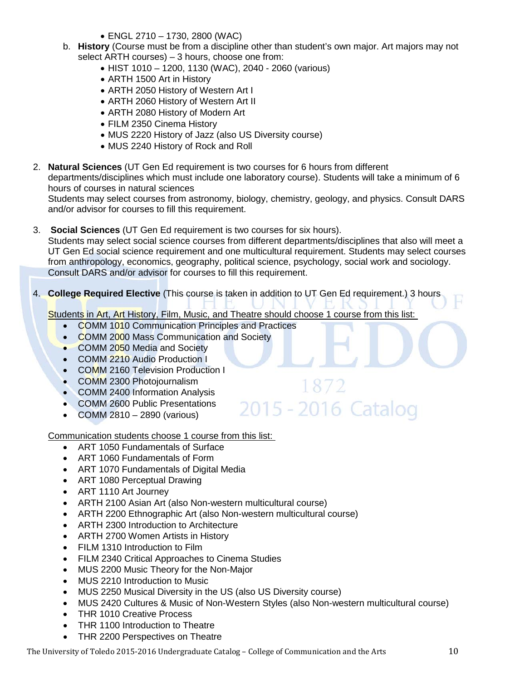- ENGL 2710 1730, 2800 (WAC)
- b. **History** (Course must be from a discipline other than student's own major. Art majors may not select ARTH courses) – 3 hours, choose one from:
	- HIST 1010 1200, 1130 (WAC), 2040 2060 (various)
	- ARTH 1500 Art in History
	- ARTH 2050 History of Western Art I
	- ARTH 2060 History of Western Art II
	- ARTH 2080 History of Modern Art
	- FILM 2350 Cinema History
	- MUS 2220 History of Jazz (also US Diversity course)
	- MUS 2240 History of Rock and Roll
- 2. **Natural Sciences** (UT Gen Ed requirement is two courses for 6 hours from different

departments/disciplines which must include one laboratory course). Students will take a minimum of 6 hours of courses in natural sciences

Students may select courses from astronomy, biology, chemistry, geology, and physics. Consult DARS and/or advisor for courses to fill this requirement.

- 3. **Social Sciences** (UT Gen Ed requirement is two courses for six hours). Students may select social science courses from different departments/disciplines that also will meet a UT Gen Ed social science requirement and one multicultural requirement. Students may select courses from anthropology, economics, geography, political science, psychology, social work and sociology. Consult DARS and/or advisor for courses to fill this requirement.
- 4. **College Required Elective** (This course is taken in addition to UT Gen Ed requirement.) 3 hours

Students in Art, Art History, Film, Music, and Theatre should choose 1 course from this list:

- COMM 1010 Communication Principles and Practices
- COMM 2000 Mass Communication and Society
- COMM 2050 Media and Society
- COMM 2210 Audio Production I
- COMM 2160 Television Production I
- COMM 2300 Photojournalism
- COMM 2400 Information Analysis
- COMM 2600 Public Presentations
- COMM 2810 2890 (various)

Communication students choose 1 course from this list:

- ART 1050 Fundamentals of Surface
- ART 1060 Fundamentals of Form
- ART 1070 Fundamentals of Digital Media
- ART 1080 Perceptual Drawing
- ART 1110 Art Journey
- ARTH 2100 Asian Art (also Non-western multicultural course)
- ARTH 2200 Ethnographic Art (also Non-western multicultural course)
- ARTH 2300 Introduction to Architecture
- ARTH 2700 Women Artists in History
- FILM 1310 Introduction to Film
- FILM 2340 Critical Approaches to Cinema Studies
- MUS 2200 Music Theory for the Non-Major
- MUS 2210 Introduction to Music
- MUS 2250 Musical Diversity in the US (also US Diversity course)
- MUS 2420 Cultures & Music of Non-Western Styles (also Non-western multicultural course)
- THR 1010 Creative Process
- THR 1100 Introduction to Theatre
- THR 2200 Perspectives on Theatre

1872 2015 - 2016 Catalog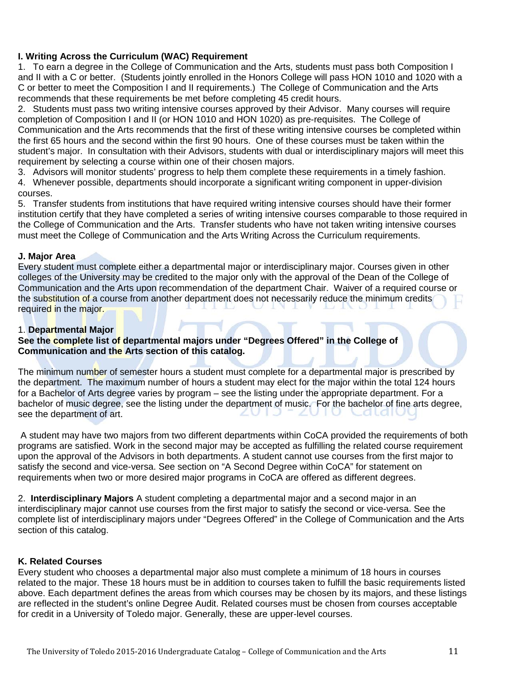#### **I. Writing Across the Curriculum (WAC) Requirement**

1. To earn a degree in the College of Communication and the Arts, students must pass both Composition I and II with a C or better. (Students jointly enrolled in the Honors College will pass HON 1010 and 1020 with a C or better to meet the Composition I and II requirements.) The College of Communication and the Arts recommends that these requirements be met before completing 45 credit hours.

2. Students must pass two writing intensive courses approved by their Advisor. Many courses will require completion of Composition I and II (or HON 1010 and HON 1020) as pre-requisites. The College of Communication and the Arts recommends that the first of these writing intensive courses be completed within the first 65 hours and the second within the first 90 hours. One of these courses must be taken within the student's major. In consultation with their Advisors, students with dual or interdisciplinary majors will meet this requirement by selecting a course within one of their chosen majors.

3. Advisors will monitor students' progress to help them complete these requirements in a timely fashion.

4. Whenever possible, departments should incorporate a significant writing component in upper-division courses.

5. Transfer students from institutions that have required writing intensive courses should have their former institution certify that they have completed a series of writing intensive courses comparable to those required in the College of Communication and the Arts. Transfer students who have not taken writing intensive courses must meet the College of Communication and the Arts Writing Across the Curriculum requirements.

#### **J. Major Area**

Every student must complete either a departmental major or interdisciplinary major. Courses given in other colleges of the University may be credited to the major only with the approval of the Dean of the College of Communication and the Arts upon recommendation of the department Chair. Waiver of a required course or the substitution of a course from another department does not necessarily reduce the minimum credits required in the major.

#### 1. **Departmental Major**

#### **See the complete list of departmental majors under "Degrees Offered" in the College of Communication and the Arts section of this catalog.**

The minimum number of semester hours a student must complete for a departmental major is prescribed by the department. The maximum number of hours a student may elect for the major within the total 124 hours for a Bachelor of Arts degree varies by program – see the listing under the appropriate department. For a bachelor of music degree, see the listing under the department of music. For the bachelor of fine arts degree, see the department of art.  $\Box$ 

A student may have two majors from two different departments within CoCA provided the requirements of both programs are satisfied. Work in the second major may be accepted as fulfilling the related course requirement upon the approval of the Advisors in both departments. A student cannot use courses from the first major to satisfy the second and vice-versa. See section on "A Second Degree within CoCA" for statement on requirements when two or more desired major programs in CoCA are offered as different degrees.

2. **Interdisciplinary Majors** A student completing a departmental major and a second major in an interdisciplinary major cannot use courses from the first major to satisfy the second or vice-versa. See the complete list of interdisciplinary majors under "Degrees Offered" in the College of Communication and the Arts section of this catalog.

#### **K. Related Courses**

Every student who chooses a departmental major also must complete a minimum of 18 hours in courses related to the major. These 18 hours must be in addition to courses taken to fulfill the basic requirements listed above. Each department defines the areas from which courses may be chosen by its majors, and these listings are reflected in the student's online Degree Audit. Related courses must be chosen from courses acceptable for credit in a University of Toledo major. Generally, these are upper-level courses.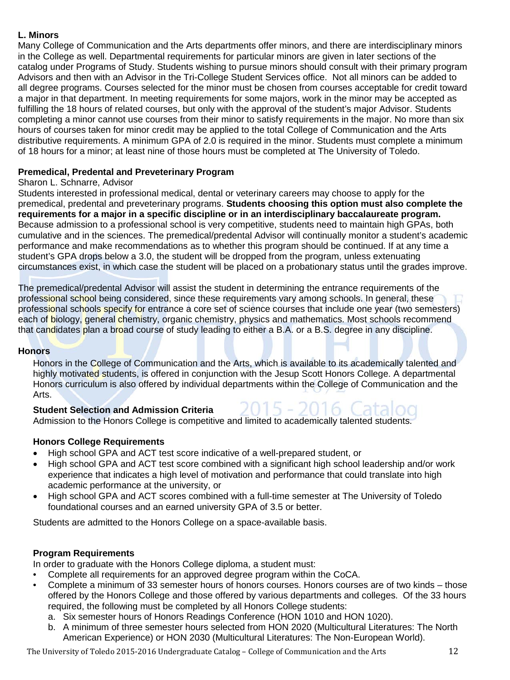#### **L. Minors**

Many College of Communication and the Arts departments offer minors, and there are interdisciplinary minors in the College as well. Departmental requirements for particular minors are given in later sections of the catalog under Programs of Study. Students wishing to pursue minors should consult with their primary program Advisors and then with an Advisor in the Tri-College Student Services office. Not all minors can be added to all degree programs. Courses selected for the minor must be chosen from courses acceptable for credit toward a major in that department. In meeting requirements for some majors, work in the minor may be accepted as fulfilling the 18 hours of related courses, but only with the approval of the student's major Advisor. Students completing a minor cannot use courses from their minor to satisfy requirements in the major. No more than six hours of courses taken for minor credit may be applied to the total College of Communication and the Arts distributive requirements. A minimum GPA of 2.0 is required in the minor. Students must complete a minimum of 18 hours for a minor; at least nine of those hours must be completed at The University of Toledo.

#### **Premedical, Predental and Preveterinary Program**

#### Sharon L. Schnarre, Advisor

Students interested in professional medical, dental or veterinary careers may choose to apply for the premedical, predental and preveterinary programs. **Students choosing this option must also complete the requirements for a major in a specific discipline or in an interdisciplinary baccalaureate program.**  Because admission to a professional school is very competitive, students need to maintain high GPAs, both cumulative and in the sciences. The premedical/predental Advisor will continually monitor a student's academic performance and make recommendations as to whether this program should be continued. If at any time a student's GPA drops below a 3.0, the student will be dropped from the program, unless extenuating circumstances exist, in which case the student will be placed on a probationary status until the grades improve.

The premedical/predental Advisor will assist the student in determining the entrance requirements of the professional school being considered, since these requirements vary among schools. In general, these professional schools specify for entrance a core set of science courses that include one year (two semesters) each of biology, general chemistry, organic chemistry, physics and mathematics. Most schools recommend that candidates plan a broad course of study leading to either a B.A. or a B.S. degree in any discipline.

#### **Honors**

Honors in the College of Communication and the Arts, which is available to its academically talented and highly motivated students, is offered in conjunction with the Jesup Scott Honors College. A departmental Honors curriculum is also offered by individual departments within the College of Communication and the Arts.

#### **Student Selection and Admission Criteria**

Admission to the Honors College is competitive and limited to academically talented students.

#### **Honors College Requirements**

- High school GPA and ACT test score indicative of a well-prepared student, or
- High school GPA and ACT test score combined with a significant high school leadership and/or work experience that indicates a high level of motivation and performance that could translate into high academic performance at the university, or
- High school GPA and ACT scores combined with a full-time semester at The University of Toledo foundational courses and an earned university GPA of 3.5 or better.

Students are admitted to the Honors College on a space-available basis.

#### **Program Requirements**

In order to graduate with the Honors College diploma, a student must:

- Complete all requirements for an approved degree program within the CoCA.
- Complete a minimum of 33 semester hours of honors courses. Honors courses are of two kinds those offered by the Honors College and those offered by various departments and colleges. Of the 33 hours required, the following must be completed by all Honors College students:
	- a. Six semester hours of Honors Readings Conference (HON 1010 and HON 1020).
	- b. A minimum of three semester hours selected from HON 2020 (Multicultural Literatures: The North American Experience) or HON 2030 (Multicultural Literatures: The Non-European World).

The University of Toledo 2015-2016 Undergraduate Catalog – College of Communication and the Arts 12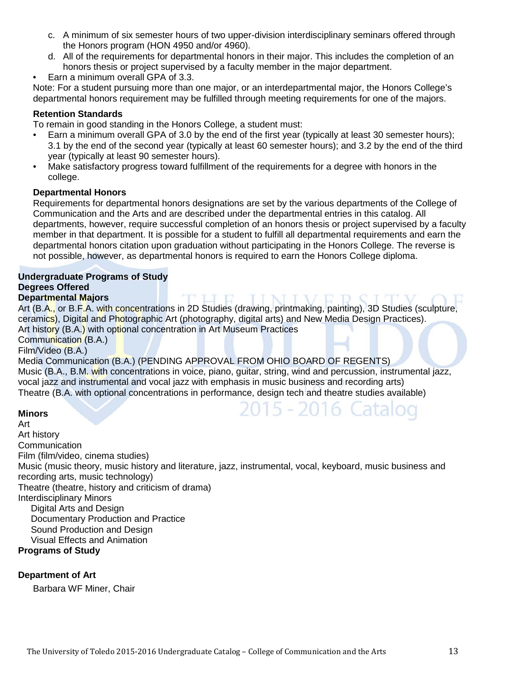- c. A minimum of six semester hours of two upper-division interdisciplinary seminars offered through the Honors program (HON 4950 and/or 4960).
- d. All of the requirements for departmental honors in their major. This includes the completion of an honors thesis or project supervised by a faculty member in the major department.
- Earn a minimum overall GPA of 3.3.

Note: For a student pursuing more than one major, or an interdepartmental major, the Honors College's departmental honors requirement may be fulfilled through meeting requirements for one of the majors.

#### **Retention Standards**

To remain in good standing in the Honors College, a student must:

- Earn a minimum overall GPA of 3.0 by the end of the first year (typically at least 30 semester hours); 3.1 by the end of the second year (typically at least 60 semester hours); and 3.2 by the end of the third year (typically at least 90 semester hours).
- Make satisfactory progress toward fulfillment of the requirements for a degree with honors in the college.

#### **Departmental Honors**

Requirements for departmental honors designations are set by the various departments of the College of Communication and the Arts and are described under the departmental entries in this catalog. All departments, however, require successful completion of an honors thesis or project supervised by a faculty member in that department. It is possible for a student to fulfill all departmental requirements and earn the departmental honors citation upon graduation without participating in the Honors College. The reverse is not possible, however, as departmental honors is required to earn the Honors College diploma.

#### **Undergraduate Programs of Study Degrees Offered Departmental Majors**

Art (B.A., or B.F.A. with concentrations in 2D Studies (drawing, printmaking, painting), 3D Studies (sculpture, ceramics), Digital and Photographic Art (photography, digital arts) and New Media Design Practices). Art history (B.A.) with optional concentration in Art Museum Practices Communication (B.A.)

Film/Video (B.A.)

Media Communication (B.A.) (PENDING APPROVAL FROM OHIO BOARD OF REGENTS) Music (B.A., B.M. with concentrations in voice, piano, guitar, string, wind and percussion, instrumental jazz, vocal jazz and instrumental and vocal jazz with emphasis in music business and recording arts) Theatre (B.A. with optional concentrations in performance, design tech and theatre studies available)

2015 - 2016 Catalog

#### **Minors**

Art Art history **Communication** Film (film/video, cinema studies) Music (music theory, music history and literature, jazz, instrumental, vocal, keyboard, music business and recording arts, music technology) Theatre (theatre, history and criticism of drama) Interdisciplinary Minors Digital Arts and Design Documentary Production and Practice Sound Production and Design Visual Effects and Animation

#### **Programs of Study**

#### **Department of Art**

Barbara WF Miner, Chair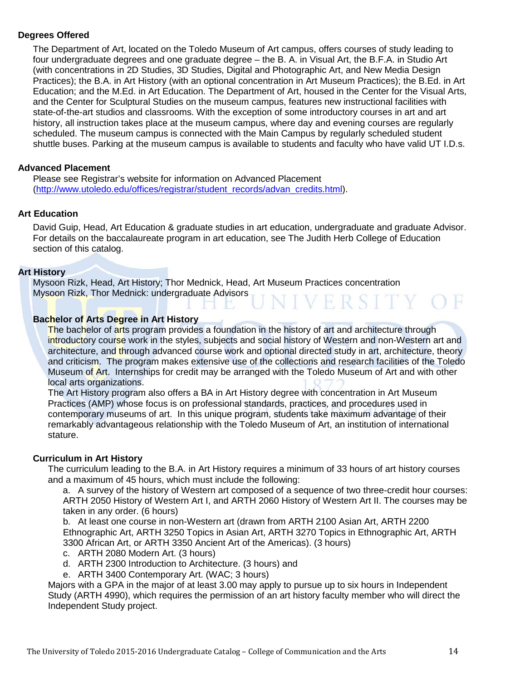#### **Degrees Offered**

The Department of Art, located on the Toledo Museum of Art campus, offers courses of study leading to four undergraduate degrees and one graduate degree – the B. A. in Visual Art, the B.F.A. in Studio Art (with concentrations in 2D Studies, 3D Studies, Digital and Photographic Art, and New Media Design Practices); the B.A. in Art History (with an optional concentration in Art Museum Practices); the B.Ed. in Art Education; and the M.Ed. in Art Education. The Department of Art, housed in the Center for the Visual Arts, and the Center for Sculptural Studies on the museum campus, features new instructional facilities with state-of-the-art studios and classrooms. With the exception of some introductory courses in art and art history, all instruction takes place at the museum campus, where day and evening courses are regularly scheduled. The museum campus is connected with the Main Campus by regularly scheduled student shuttle buses. Parking at the museum campus is available to students and faculty who have valid UT I.D.s.

#### **Advanced Placement**

Please see Registrar's website for information on Advanced Placement [\(http://www.utoledo.edu/offices/registrar/student\\_records/advan\\_credits.html\)](http://www.utoledo.edu/offices/registrar/student_records/advan_credits.html).

#### **Art Education**

David Guip, Head, Art Education & graduate studies in art education, undergraduate and graduate Advisor. For details on the baccalaureate program in art education, see The Judith Herb College of Education section of this catalog.

#### **Art History**

Mysoon Rizk, Head, Art History; Thor Mednick, Head, Art Museum Practices concentration Mysoon Rizk, Thor Mednick: undergraduate Advisors **IVERSITY** 

#### **Bachelor of Arts Degree in Art History**

The bachelor of arts program provides a foundation in the history of art and architecture through introductory course work in the styles, subjects and social history of Western and non-Western art and architecture, and through advanced course work and optional directed study in art, architecture, theory and criticism. The program makes extensive use of the collections and research facilities of the Toledo Museum of Art. Internships for credit may be arranged with the Toledo Museum of Art and with other local arts organizations.

The Art History program also offers a BA in Art History degree with concentration in Art Museum Practices (AMP) whose focus is on professional standards, practices, and procedures used in contemporary museums of art. In this unique program, students take maximum advantage of their remarkably advantageous relationship with the Toledo Museum of Art, an institution of international stature.

#### **Curriculum in Art History**

The curriculum leading to the B.A. in Art History requires a minimum of 33 hours of art history courses and a maximum of 45 hours, which must include the following:

a. A survey of the history of Western art composed of a sequence of two three-credit hour courses: ARTH 2050 History of Western Art I, and ARTH 2060 History of Western Art II. The courses may be taken in any order. (6 hours)

b. At least one course in non-Western art (drawn from ARTH 2100 Asian Art, ARTH 2200 Ethnographic Art, ARTH 3250 Topics in Asian Art, ARTH 3270 Topics in Ethnographic Art, ARTH 3300 African Art, or ARTH 3350 Ancient Art of the Americas). (3 hours)

- c. ARTH 2080 Modern Art. (3 hours)
- d. ARTH 2300 Introduction to Architecture. (3 hours) and
- e. ARTH 3400 Contemporary Art. (WAC; 3 hours)

Majors with a GPA in the major of at least 3.00 may apply to pursue up to six hours in Independent Study (ARTH 4990), which requires the permission of an art history faculty member who will direct the Independent Study project.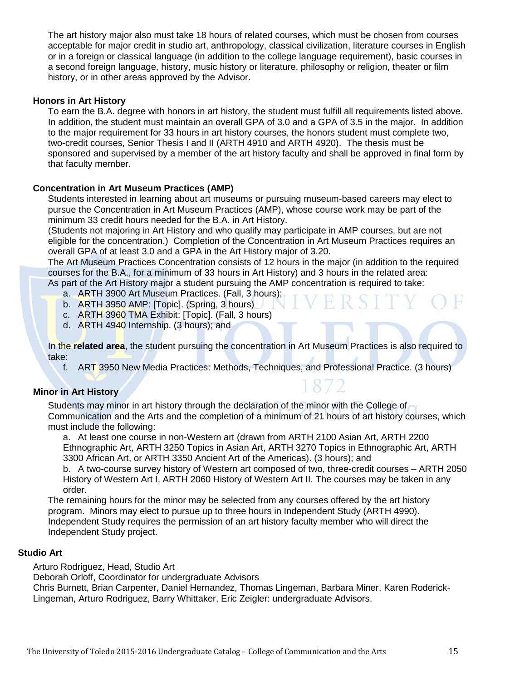The art history major also must take 18 hours of related courses, which must be chosen from courses acceptable for major credit in studio art, anthropology, classical civilization, literature courses in English or in a foreign or classical language (in addition to the college language requirement), basic courses in a second foreign language, history, music history or literature, philosophy or religion, theater or film history, or in other areas approved by the Advisor.

#### **Honors in Art History**

To earn the B.A. degree with honors in art history, the student must fulfill all requirements listed above. In addition, the student must maintain an overall GPA of 3.0 and a GPA of 3.5 in the major. In addition to the major requirement for 33 hours in art history courses, the honors student must complete two, two-credit courses, Senior Thesis I and II (ARTH 4910 and ARTH 4920). The thesis must be sponsored and supervised by a member of the art history faculty and shall be approved in final form by that faculty member.

#### **Concentration in Art Museum Practices (AMP)**

Students interested in learning about art museums or pursuing museum-based careers may elect to pursue the Concentration in Art Museum Practices (AMP), whose course work may be part of the minimum 33 credit hours needed for the B.A. in Art History.

(Students not majoring in Art History and who qualify may participate in AMP courses, but are not eligible for the concentration.) Completion of the Concentration in Art Museum Practices requires an overall GPA of at least 3.0 and a GPA in the Art History major of 3.20.

The Art Museum Practices Concentration consists of 12 hours in the major (in addition to the required courses for the B.A., for a minimum of 33 hours in Art History) and 3 hours in the related area: As part of the Art History major a student pursuing the AMP concentration is required to take:

- a. ARTH 3900 Art Museum Practices. (Fall, 3 hours);
- b. ARTH 3950 AMP: [Topic]. (Spring, 3 hours)
- c. ARTH 3960 TMA Exhibit: [Topic]. (Fall, 3 hours)
- d. ARTH 4940 Internship. (3 hours); and

In the **related area**, the student pursuing the concentration in Art Museum Practices is also required to take:

f. ART 3950 New Media Practices: Methods, Techniques, and Professional Practice. (3 hours)

#### **Minor in Art History**

Students may minor in art history through the declaration of the minor with the College of Communication and the Arts and the completion of a minimum of 21 hours of art history courses, which must include the following:

a. At least one course in non-Western art (drawn from ARTH 2100 Asian Art, ARTH 2200 Ethnographic Art, ARTH 3250 Topics in Asian Art, ARTH 3270 Topics in Ethnographic Art, ARTH 3300 African Art, or ARTH 3350 Ancient Art of the Americas). (3 hours); and

b. A two-course survey history of Western art composed of two, three-credit courses – ARTH 2050 History of Western Art I, ARTH 2060 History of Western Art II. The courses may be taken in any order.

The remaining hours for the minor may be selected from any courses offered by the art history program. Minors may elect to pursue up to three hours in Independent Study (ARTH 4990). Independent Study requires the permission of an art history faculty member who will direct the Independent Study project.

#### **Studio Art**

Arturo Rodriguez, Head, Studio Art

Deborah Orloff, Coordinator for undergraduate Advisors

Chris Burnett, Brian Carpenter, Daniel Hernandez, Thomas Lingeman, Barbara Miner, Karen Roderick-Lingeman, Arturo Rodriguez, Barry Whittaker, Eric Zeigler: undergraduate Advisors.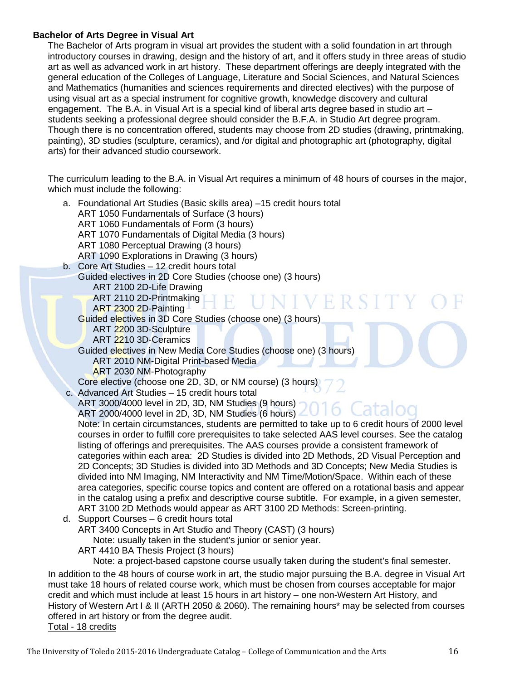#### **Bachelor of Arts Degree in Visual Art**

The Bachelor of Arts program in visual art provides the student with a solid foundation in art through introductory courses in drawing, design and the history of art, and it offers study in three areas of studio art as well as advanced work in art history. These department offerings are deeply integrated with the general education of the Colleges of Language, Literature and Social Sciences, and Natural Sciences and Mathematics (humanities and sciences requirements and directed electives) with the purpose of using visual art as a special instrument for cognitive growth, knowledge discovery and cultural engagement. The B.A. in Visual Art is a special kind of liberal arts degree based in studio art – students seeking a professional degree should consider the B.F.A. in Studio Art degree program. Though there is no concentration offered, students may choose from 2D studies (drawing, printmaking, painting), 3D studies (sculpture, ceramics), and /or digital and photographic art (photography, digital arts) for their advanced studio coursework.

The curriculum leading to the B.A. in Visual Art requires a minimum of 48 hours of courses in the major, which must include the following:

| a. Foundational Art Studies (Basic skills area) -15 credit hours total                                     |
|------------------------------------------------------------------------------------------------------------|
| ART 1050 Fundamentals of Surface (3 hours)                                                                 |
| ART 1060 Fundamentals of Form (3 hours)                                                                    |
| ART 1070 Fundamentals of Digital Media (3 hours)                                                           |
| ART 1080 Perceptual Drawing (3 hours)                                                                      |
| ART 1090 Explorations in Drawing (3 hours)                                                                 |
| b. Core Art Studies - 12 credit hours total                                                                |
| Guided electives in 2D Core Studies (choose one) (3 hours)                                                 |
| ART 2100 2D-Life Drawing                                                                                   |
| ART 2110 2D-Printmaking<br>VIVERSIT<br>ART 2300 2D-Painting                                                |
| Guided electives in 3D Core Studies (choose one) (3 hours)                                                 |
| ART 2200 3D-Sculpture                                                                                      |
| ART 2210 3D-Ceramics                                                                                       |
| Guided electives in New Media Core Studies (choose one) (3 hours)                                          |
| <b>ART 2010 NM-Digital Print-based Media</b>                                                               |
| ART 2030 NM-Photography                                                                                    |
| Core elective (choose one 2D, 3D, or NM course) (3 hours)                                                  |
| c. Advanced Art Studies - 15 credit hours total                                                            |
| ART 3000/4000 level in 2D, 3D, NM Studies (9 hours)                                                        |
| Catalog<br>ART 2000/4000 level in 2D, 3D, NM Studies (6 hours)                                             |
| Note: In certain circumstances, students are permitted to take up to 6 credit hours of 2000 level          |
| courses in order to fulfill core prerequisites to take selected AAS level courses. See the catalog         |
| listing of offerings and prerequisites. The AAS courses provide a consistent framework of                  |
| categories within each area: 2D Studies is divided into 2D Methods, 2D Visual Perception and               |
| 2D Concepts; 3D Studies is divided into 3D Methods and 3D Concepts; New Media Studies is                   |
| divided into NM Imaging, NM Interactivity and NM Time/Motion/Space. Within each of these                   |
| area categories, specific course topics and content are offered on a rotational basis and appear           |
| in the catalog using a prefix and descriptive course subtitle. For example, in a given semester,           |
| ART 3100 2D Methods would appear as ART 3100 2D Methods: Screen-printing.                                  |
| d. Support Courses - 6 credit hours total                                                                  |
| ART 3400 Concepts in Art Studio and Theory (CAST) (3 hours)                                                |
| Note: usually taken in the student's junior or senior year.                                                |
| ART 4410 BA Thesis Project (3 hours)                                                                       |
| Note: a project-based capstone course usually taken during the student's final semester.                   |
| In addition to the 48 hours of course work in art, the studio major pursuing the B.A. degree in Visual Art |
| must take 18 hours of related course work, which must be chosen from courses acceptable for major          |
| credit and which must include at least 15 hours in art history – one non-Western Art History, and          |
| History of Western Art I & II (ARTH 2050 & 2060). The remaining hours* may be selected from courses        |
| offered in art history or from the degree audit.                                                           |

#### Total - 18 credits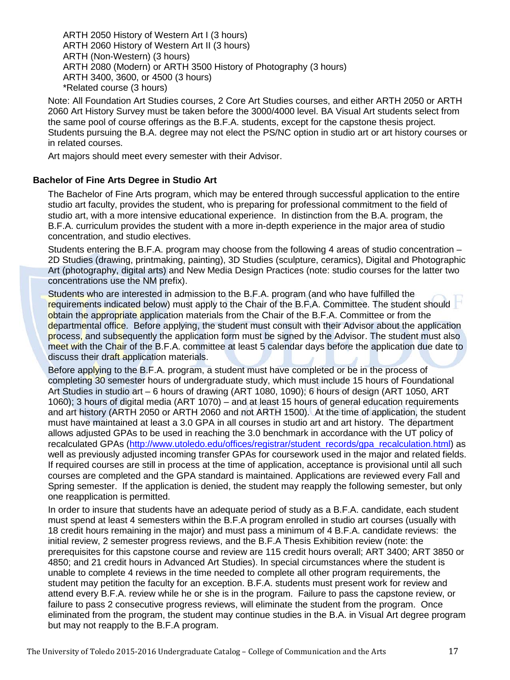ARTH 2050 History of Western Art I (3 hours) ARTH 2060 History of Western Art II (3 hours) ARTH (Non-Western) (3 hours) ARTH 2080 (Modern) or ARTH 3500 History of Photography (3 hours) ARTH 3400, 3600, or 4500 (3 hours) \*Related course (3 hours)

Note: All Foundation Art Studies courses, 2 Core Art Studies courses, and either ARTH 2050 or ARTH 2060 Art History Survey must be taken before the 3000/4000 level. BA Visual Art students select from the same pool of course offerings as the B.F.A. students, except for the capstone thesis project. Students pursuing the B.A. degree may not elect the PS/NC option in studio art or art history courses or in related courses.

Art majors should meet every semester with their Advisor.

#### **Bachelor of Fine Arts Degree in Studio Art**

The Bachelor of Fine Arts program, which may be entered through successful application to the entire studio art faculty, provides the student, who is preparing for professional commitment to the field of studio art, with a more intensive educational experience. In distinction from the B.A. program, the B.F.A. curriculum provides the student with a more in-depth experience in the major area of studio concentration, and studio electives.

Students entering the B.F.A. program may choose from the following 4 areas of studio concentration – 2D Studies (drawing, printmaking, painting), 3D Studies (sculpture, ceramics), Digital and Photographic Art (photography, digital arts) and New Media Design Practices (note: studio courses for the latter two concentrations use the NM prefix).

Students who are interested in admission to the B.F.A. program (and who have fulfilled the requirements indicated below) must apply to the Chair of the B.F.A. Committee. The student should obtain the appropriate application materials from the Chair of the B.F.A. Committee or from the departmental office. Before applying, the student must consult with their Advisor about the application process, and subsequently the application form must be signed by the Advisor. The student must also meet with the Chair of the B.F.A. committee at least 5 calendar days before the application due date to discuss their draft application materials.

Before applying to the B.F.A. program, a student must have completed or be in the process of completing 30 semester hours of undergraduate study, which must include 15 hours of Foundational Art Studies in studio art – 6 hours of drawing (ART 1080, 1090); 6 hours of design (ART 1050, ART 1060); 3 hours of digital media (ART 1070) – and at least 15 hours of general education requirements and art history (ARTH 2050 or ARTH 2060 and not ARTH 1500). At the time of application, the student must have maintained at least a 3.0 GPA in all courses in studio art and art history. The department allows adjusted GPAs to be used in reaching the 3.0 benchmark in accordance with the UT policy of recalculated GPAs [\(http://www.utoledo.edu/offices/registrar/student\\_records/gpa\\_recalculation.html\)](http://www.utoledo.edu/offices/registrar/student_records/gpa_recalculation.html) as well as previously adjusted incoming transfer GPAs for coursework used in the major and related fields. If required courses are still in process at the time of application, acceptance is provisional until all such courses are completed and the GPA standard is maintained. Applications are reviewed every Fall and Spring semester. If the application is denied, the student may reapply the following semester, but only one reapplication is permitted.

In order to insure that students have an adequate period of study as a B.F.A. candidate, each student must spend at least 4 semesters within the B.F.A program enrolled in studio art courses (usually with 18 credit hours remaining in the major) and must pass a minimum of 4 B.F.A. candidate reviews: the initial review, 2 semester progress reviews, and the B.F.A Thesis Exhibition review (note: the prerequisites for this capstone course and review are 115 credit hours overall; ART 3400; ART 3850 or 4850; and 21 credit hours in Advanced Art Studies). In special circumstances where the student is unable to complete 4 reviews in the time needed to complete all other program requirements, the student may petition the faculty for an exception. B.F.A. students must present work for review and attend every B.F.A. review while he or she is in the program. Failure to pass the capstone review, or failure to pass 2 consecutive progress reviews, will eliminate the student from the program. Once eliminated from the program, the student may continue studies in the B.A. in Visual Art degree program but may not reapply to the B.F.A program.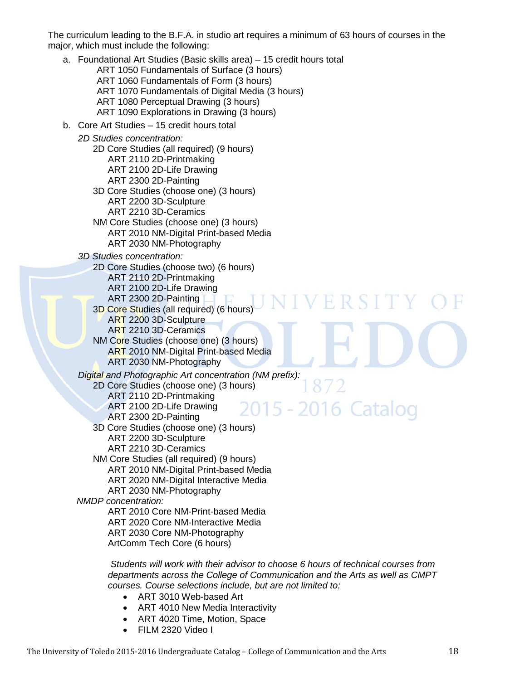The curriculum leading to the B.F.A. in studio art requires a minimum of 63 hours of courses in the major, which must include the following:

a. Foundational Art Studies (Basic skills area) – 15 credit hours total ART 1050 Fundamentals of Surface (3 hours) ART 1060 Fundamentals of Form (3 hours) ART 1070 Fundamentals of Digital Media (3 hours) ART 1080 Perceptual Drawing (3 hours) ART 1090 Explorations in Drawing (3 hours) b. Core Art Studies – 15 credit hours total *2D Studies concentration:* 2D Core Studies (all required) (9 hours) ART 2110 2D-Printmaking ART 2100 2D-Life Drawing ART 2300 2D-Painting 3D Core Studies (choose one) (3 hours) ART 2200 3D-Sculpture ART 2210 3D-Ceramics NM Core Studies (choose one) (3 hours) ART 2010 NM-Digital Print-based Media ART 2030 NM-Photography *3D Studies concentration:* 2D Core Studies (choose two) (6 hours) ART 2110 2D-Printmaking ART 2100 2D-Life Drawing ART 2300 2D-Painting 3D Core Studies (all required) (6 hours) ART 2200 3D-Sculpture ART 2210 3D-Ceramics NM Core Studies (choose one) (3 hours) ART 2010 NM-Digital Print-based Media ART 2030 NM-Photography *Digital and Photographic Art concentration (NM prefix):* 2D Core Studies (choose one) (3 hours) ART 2110 2D-Printmaking 2015 - 2016 Catalog ART 2100 2D-Life Drawing ART 2300 2D-Painting 3D Core Studies (choose one) (3 hours) ART 2200 3D-Sculpture ART 2210 3D-Ceramics NM Core Studies (all required) (9 hours) ART 2010 NM-Digital Print-based Media ART 2020 NM-Digital Interactive Media ART 2030 NM-Photography *NMDP concentration:* ART 2010 Core NM-Print-based Media ART 2020 Core NM-Interactive Media ART 2030 Core NM-Photography ArtComm Tech Core (6 hours)

*Students will work with their advisor to choose 6 hours of technical courses from departments across the College of Communication and the Arts as well as CMPT courses. Course selections include, but are not limited to:*

- ART 3010 Web-based Art
- ART 4010 New Media Interactivity
- ART 4020 Time, Motion, Space
- FILM 2320 Video I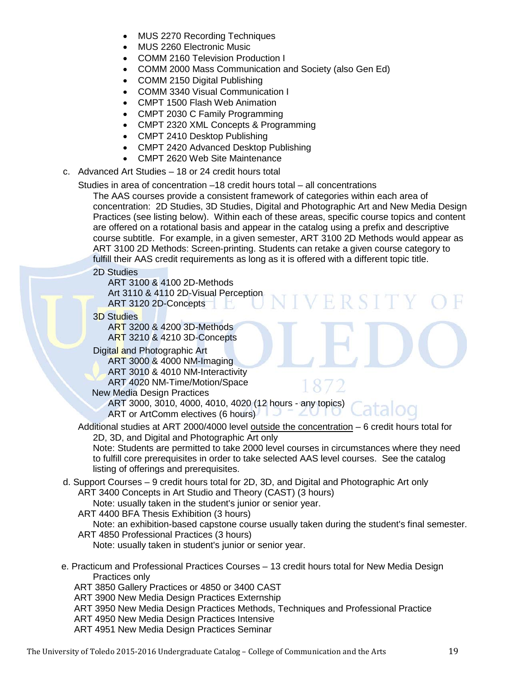- MUS 2270 Recording Techniques
- MUS 2260 Electronic Music
- COMM 2160 Television Production I
- COMM 2000 Mass Communication and Society (also Gen Ed)
- COMM 2150 Digital Publishing
- COMM 3340 Visual Communication I
- CMPT 1500 Flash Web Animation
- CMPT 2030 C Family Programming
- CMPT 2320 XML Concepts & Programming
- CMPT 2410 Desktop Publishing
- CMPT 2420 Advanced Desktop Publishing
- CMPT 2620 Web Site Maintenance
- c. Advanced Art Studies 18 or 24 credit hours total
	- Studies in area of concentration –18 credit hours total all concentrations

The AAS courses provide a consistent framework of categories within each area of concentration: 2D Studies, 3D Studies, Digital and Photographic Art and New Media Design Practices (see listing below). Within each of these areas, specific course topics and content are offered on a rotational basis and appear in the catalog using a prefix and descriptive course subtitle. For example, in a given semester, ART 3100 2D Methods would appear as ART 3100 2D Methods: Screen-printing. Students can retake a given course category to fulfill their AAS credit requirements as long as it is offered with a different topic title.

2D Studies

ART 3100 & 4100 2D-Methods Art 3110 & 4110 2D-Visual Perception ART 3120 2D-Concepts

3D Studies

ART 3200 & 4200 3D-Methods ART 3210 & 4210 3D-Concepts

Digital and Photographic Art ART 3000 & 4000 NM-Imaging ART 3010 & 4010 NM-Interactivity ART 4020 NM-Time/Motion/Space

New Media Design Practices

ART 3000, 3010, 4000, 4010, 4020 (12 hours - any topics) ART or ArtComm electives (6 hours)

Additional studies at ART 2000/4000 level outside the concentration – 6 credit hours total for 2D, 3D, and Digital and Photographic Art only

Note: Students are permitted to take 2000 level courses in circumstances where they need to fulfill core prerequisites in order to take selected AAS level courses. See the catalog listing of offerings and prerequisites.

d. Support Courses – 9 credit hours total for 2D, 3D, and Digital and Photographic Art only ART 3400 Concepts in Art Studio and Theory (CAST) (3 hours)

Note: usually taken in the student's junior or senior year.

ART 4400 BFA Thesis Exhibition (3 hours)

Note: an exhibition-based capstone course usually taken during the student's final semester. ART 4850 Professional Practices (3 hours)

Note: usually taken in student's junior or senior year.

 e. Practicum and Professional Practices Courses – 13 credit hours total for New Media Design Practices only

ART 3850 Gallery Practices or 4850 or 3400 CAST

- ART 3900 New Media Design Practices Externship
- ART 3950 New Media Design Practices Methods, Techniques and Professional Practice
- ART 4950 New Media Design Practices Intensive
- ART 4951 New Media Design Practices Seminar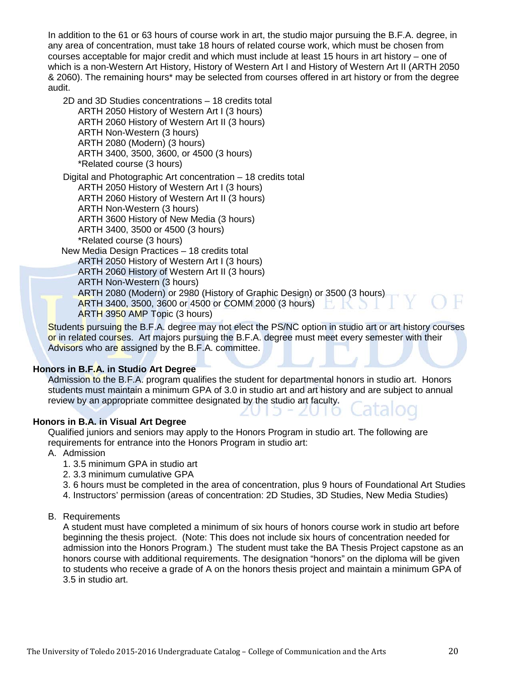In addition to the 61 or 63 hours of course work in art, the studio major pursuing the B.F.A. degree, in any area of concentration, must take 18 hours of related course work, which must be chosen from courses acceptable for major credit and which must include at least 15 hours in art history – one of which is a non-Western Art History, History of Western Art I and History of Western Art II (ARTH 2050 & 2060). The remaining hours\* may be selected from courses offered in art history or from the degree audit.

2D and 3D Studies concentrations – 18 credits total ARTH 2050 History of Western Art I (3 hours) ARTH 2060 History of Western Art II (3 hours) ARTH Non-Western (3 hours) ARTH 2080 (Modern) (3 hours) ARTH 3400, 3500, 3600, or 4500 (3 hours) \*Related course (3 hours)

Digital and Photographic Art concentration – 18 credits total ARTH 2050 History of Western Art I (3 hours) ARTH 2060 History of Western Art II (3 hours)

ARTH Non-Western (3 hours)

ARTH 3600 History of New Media (3 hours)

ARTH 3400, 3500 or 4500 (3 hours)

\*Related course (3 hours)

New Media Design Practices – 18 credits total

ARTH 2050 History of Western Art I (3 hours)

ARTH 2060 History of Western Art II (3 hours)

ARTH Non-Western (3 hours)

ARTH 2080 (Modern) or 2980 (History of Graphic Design) or 3500 (3 hours)

ARTH 3400, 3500, 3600 or 4500 or COMM 2000 (3 hours)

ARTH 3950 AMP Topic (3 hours)

Students pursuing the B.F.A. degree may not elect the PS/NC option in studio art or art history courses or in related courses. Art majors pursuing the B.F.A. degree must meet every semester with their Advisors who are assigned by the B.F.A. committee.

#### **Honors in B.F.A. in Studio Art Degree**

Admission to the B.F.A. program qualifies the student for departmental honors in studio art. Honors students must maintain a minimum GPA of 3.0 in studio art and art history and are subject to annual review by an appropriate committee designated by the studio art faculty.

#### **Honors in B.A. in Visual Art Degree**

Qualified juniors and seniors may apply to the Honors Program in studio art. The following are requirements for entrance into the Honors Program in studio art:

- A. Admission
	- 1. 3.5 minimum GPA in studio art
	- 2. 3.3 minimum cumulative GPA
	- 3. 6 hours must be completed in the area of concentration, plus 9 hours of Foundational Art Studies
	- 4. Instructors' permission (areas of concentration: 2D Studies, 3D Studies, New Media Studies)
- B. Requirements

A student must have completed a minimum of six hours of honors course work in studio art before beginning the thesis project. (Note: This does not include six hours of concentration needed for admission into the Honors Program.) The student must take the BA Thesis Project capstone as an honors course with additional requirements. The designation "honors" on the diploma will be given to students who receive a grade of A on the honors thesis project and maintain a minimum GPA of 3.5 in studio art.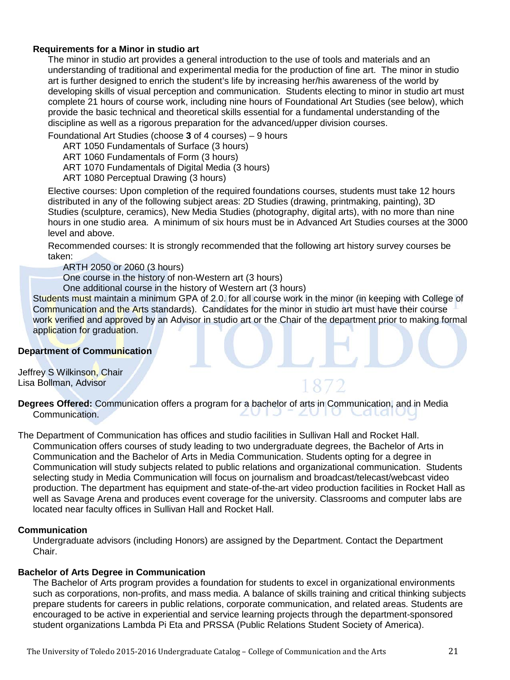#### **Requirements for a Minor in studio art**

The minor in studio art provides a general introduction to the use of tools and materials and an understanding of traditional and experimental media for the production of fine art. The minor in studio art is further designed to enrich the student's life by increasing her/his awareness of the world by developing skills of visual perception and communication. Students electing to minor in studio art must complete 21 hours of course work, including nine hours of Foundational Art Studies (see below), which provide the basic technical and theoretical skills essential for a fundamental understanding of the discipline as well as a rigorous preparation for the advanced/upper division courses.

Foundational Art Studies (choose **3** of 4 courses) – 9 hours

ART 1050 Fundamentals of Surface (3 hours)

ART 1060 Fundamentals of Form (3 hours)

ART 1070 Fundamentals of Digital Media (3 hours)

ART 1080 Perceptual Drawing (3 hours)

Elective courses: Upon completion of the required foundations courses, students must take 12 hours distributed in any of the following subject areas: 2D Studies (drawing, printmaking, painting), 3D Studies (sculpture, ceramics), New Media Studies (photography, digital arts), with no more than nine hours in one studio area. A minimum of six hours must be in Advanced Art Studies courses at the 3000 level and above.

Recommended courses: It is strongly recommended that the following art history survey courses be taken:

ARTH 2050 or 2060 (3 hours)

One course in the history of non-Western art (3 hours)

One additional course in the history of Western art (3 hours)

Students must maintain a minimum GPA of 2.0. for all course work in the minor (in keeping with College of Communication and the Arts standards). Candidates for the minor in studio art must have their course work verified and approved by an Advisor in studio art or the Chair of the department prior to making formal application for graduation.

#### **Department of Communication**

Jeffrey S Wilkinson, Chair Lisa Bollman, Advisor

**Degrees Offered:** Communication offers a program for a bachelor of arts in Communication, and in Media Communication.  $\angle U \cup$ 

The Department of Communication has offices and studio facilities in Sullivan Hall and Rocket Hall. Communication offers courses of study leading to two undergraduate degrees, the Bachelor of Arts in Communication and the Bachelor of Arts in Media Communication. Students opting for a degree in Communication will study subjects related to public relations and organizational communication. Students selecting study in Media Communication will focus on journalism and broadcast/telecast/webcast video production. The department has equipment and state-of-the-art video production facilities in Rocket Hall as well as Savage Arena and produces event coverage for the university. Classrooms and computer labs are located near faculty offices in Sullivan Hall and Rocket Hall.

#### **Communication**

Undergraduate advisors (including Honors) are assigned by the Department. Contact the Department Chair.

#### **Bachelor of Arts Degree in Communication**

The Bachelor of Arts program provides a foundation for students to excel in organizational environments such as corporations, non-profits, and mass media. A balance of skills training and critical thinking subjects prepare students for careers in public relations, corporate communication, and related areas. Students are encouraged to be active in experiential and service learning projects through the department-sponsored student organizations Lambda Pi Eta and PRSSA (Public Relations Student Society of America).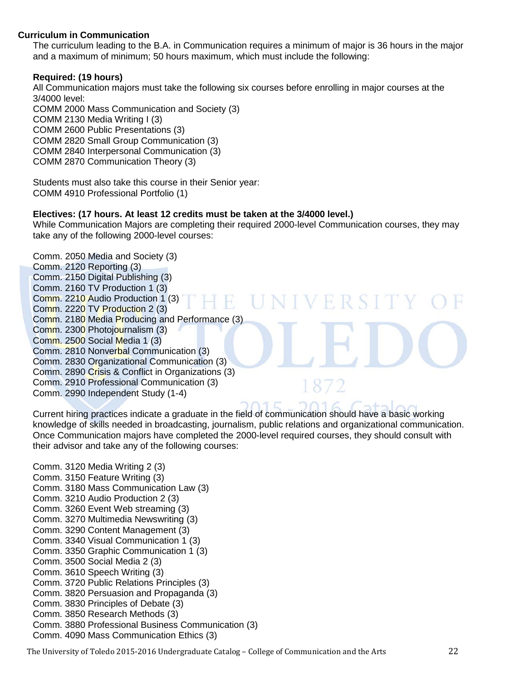#### **Curriculum in Communication**

The curriculum leading to the B.A. in Communication requires a minimum of major is 36 hours in the major and a maximum of minimum; 50 hours maximum, which must include the following:

#### **Required: (19 hours)**

All Communication majors must take the following six courses before enrolling in major courses at the 3/4000 level: COMM 2000 Mass Communication and Society (3) COMM 2130 Media Writing I (3) COMM 2600 Public Presentations (3) COMM 2820 Small Group Communication (3) COMM 2840 Interpersonal Communication (3) COMM 2870 Communication Theory (3)

Students must also take this course in their Senior year: COMM 4910 Professional Portfolio (1)

#### **Electives: (17 hours. At least 12 credits must be taken at the 3/4000 level.)**

While Communication Majors are completing their required 2000-level Communication courses, they may take any of the following 2000-level courses:

Comm. 2050 Media and Society (3) Comm. 2120 Reporting (3) Comm. 2150 Digital Publishing (3) Comm. 2160 TV Production 1 (3) Comm. 2210 Audio Production 1 (3)  $\mathbb{R}$ H. Comm. 2220 TV Production 2 (3) Comm. 2180 Media Producing and Performance (3) Comm. 2300 Photojournalism (3) Comm. 2500 Social Media 1 (3) Comm. 2810 Nonverbal Communication (3) Comm. 2830 Organizational Communication (3) Comm. 2890 Crisis & Conflict in Organizations (3) Comm. 2910 Professional Communication (3) Comm. 2990 Independent Study (1-4)

Current hiring practices indicate a graduate in the field of communication should have a basic working knowledge of skills needed in broadcasting, journalism, public relations and organizational communication. Once Communication majors have completed the 2000-level required courses, they should consult with their advisor and take any of the following courses:

- Comm. 3120 Media Writing 2 (3) Comm. 3150 Feature Writing (3) Comm. 3180 Mass Communication Law (3) Comm. 3210 Audio Production 2 (3) Comm. 3260 Event Web streaming (3) Comm. 3270 Multimedia Newswriting (3) Comm. 3290 Content Management (3) Comm. 3340 Visual Communication 1 (3) Comm. 3350 Graphic Communication 1 (3) Comm. 3500 Social Media 2 (3) Comm. 3610 Speech Writing (3) Comm. 3720 Public Relations Principles (3) Comm. 3820 Persuasion and Propaganda (3) Comm. 3830 Principles of Debate (3) Comm. 3850 Research Methods (3) Comm. 3880 Professional Business Communication (3)
- Comm. 4090 Mass Communication Ethics (3)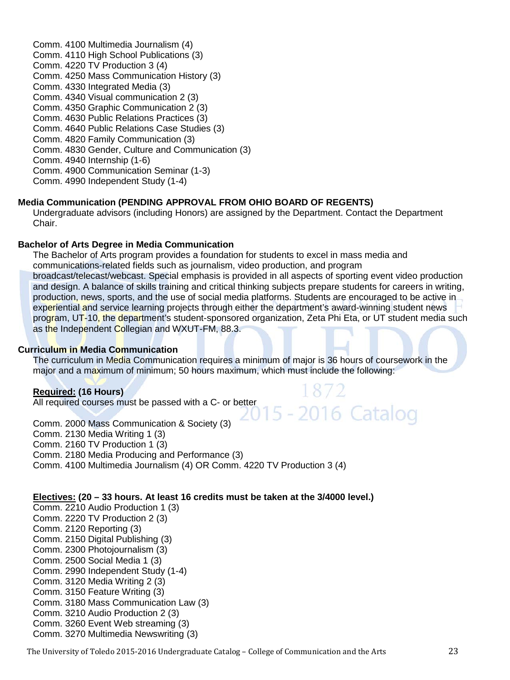Comm. 4100 Multimedia Journalism (4) Comm. 4110 High School Publications (3) Comm. 4220 TV Production 3 (4) Comm. 4250 Mass Communication History (3) Comm. 4330 Integrated Media (3) Comm. 4340 Visual communication 2 (3) Comm. 4350 Graphic Communication 2 (3) Comm. 4630 Public Relations Practices (3) Comm. 4640 Public Relations Case Studies (3) Comm. 4820 Family Communication (3) Comm. 4830 Gender, Culture and Communication (3) Comm. 4940 Internship (1-6) Comm. 4900 Communication Seminar (1-3) Comm. 4990 Independent Study (1-4)

#### **Media Communication (PENDING APPROVAL FROM OHIO BOARD OF REGENTS)**

Undergraduate advisors (including Honors) are assigned by the Department. Contact the Department Chair.

#### **Bachelor of Arts Degree in Media Communication**

The Bachelor of Arts program provides a foundation for students to excel in mass media and communications-related fields such as journalism, video production, and program broadcast/telecast/webcast. Special emphasis is provided in all aspects of sporting event video production and design. A balance of skills training and critical thinking subjects prepare students for careers in writing, production, news, sports, and the use of social media platforms. Students are encouraged to be active in experiential and service learning projects through either the department's award-winning student news program, UT-10, the department's student-sponsored organization, Zeta Phi Eta, or UT student media such as the Independent Collegian and WXUT-FM, 88.3.

#### **Curriculum in Media Communication**

The curriculum in Media Communication requires a minimum of major is 36 hours of coursework in the major and a maximum of minimum; 50 hours maximum, which must include the following:

#### **Required: (16 Hours)**

All required courses must be passed with a C- or better

Comm. 2000 Mass Communication & Society (3) Comm. 2130 Media Writing 1 (3) Comm. 2160 TV Production 1 (3) Comm. 2180 Media Producing and Performance (3) Comm. 4100 Multimedia Journalism (4) OR Comm. 4220 TV Production 3 (4)

#### **Electives: (20 – 33 hours. At least 16 credits must be taken at the 3/4000 level.)**

Comm. 2210 Audio Production 1 (3) Comm. 2220 TV Production 2 (3) Comm. 2120 Reporting (3) Comm. 2150 Digital Publishing (3) Comm. 2300 Photojournalism (3) Comm. 2500 Social Media 1 (3) Comm. 2990 Independent Study (1-4) Comm. 3120 Media Writing 2 (3) Comm. 3150 Feature Writing (3) Comm. 3180 Mass Communication Law (3) Comm. 3210 Audio Production 2 (3) Comm. 3260 Event Web streaming (3) Comm. 3270 Multimedia Newswriting (3)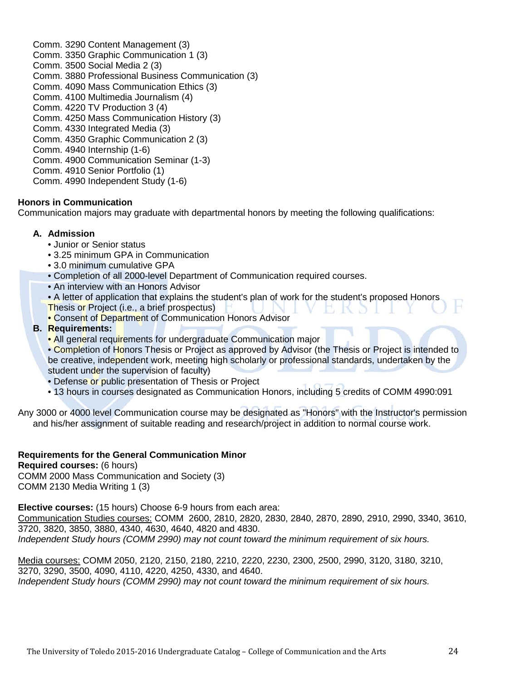Comm. 3290 Content Management (3) Comm. 3350 Graphic Communication 1 (3) Comm. 3500 Social Media 2 (3) Comm. 3880 Professional Business Communication (3) Comm. 4090 Mass Communication Ethics (3) Comm. 4100 Multimedia Journalism (4) Comm. 4220 TV Production 3 (4) Comm. 4250 Mass Communication History (3) Comm. 4330 Integrated Media (3) Comm. 4350 Graphic Communication 2 (3) Comm. 4940 Internship (1-6) Comm. 4900 Communication Seminar (1-3) Comm. 4910 Senior Portfolio (1) Comm. 4990 Independent Study (1-6)

#### **Honors in Communication**

Communication majors may graduate with departmental honors by meeting the following qualifications:

#### **A. Admission**

- Junior or Senior status
- 3.25 minimum GPA in Communication
- 3.0 minimum cumulative GPA
- Completion of all 2000-level Department of Communication required courses.
- An interview with an Honors Advisor
- A letter of application that explains the student's plan of work for the student's proposed Honors.
- Thesis or Project (i.e., a brief prospectus)
- Consent of Department of Communication Honors Advisor

#### **B. Requirements:**

• All general requirements for undergraduate Communication major

• Completion of Honors Thesis or Project as approved by Advisor (the Thesis or Project is intended to be creative, independent work, meeting high scholarly or professional standards, undertaken by the student under the supervision of faculty)

- Defense or public presentation of Thesis or Project
- 13 hours in courses designated as Communication Honors, including 5 credits of COMM 4990:091

Any 3000 or 4000 level Communication course may be designated as "Honors" with the Instructor's permission and his/her assignment of suitable reading and research/project in addition to normal course work.

#### **Requirements for the General Communication Minor**

**Required courses:** (6 hours)

COMM 2000 Mass Communication and Society (3) COMM 2130 Media Writing 1 (3)

**Elective courses:** (15 hours) Choose 6-9 hours from each area:

Communication Studies courses: COMM 2600, 2810, 2820, 2830, 2840, 2870, 2890, 2910, 2990, 3340, 3610, 3720, 3820, 3850, 3880, 4340, 4630, 4640, 4820 and 4830. *Independent Study hours (COMM 2990) may not count toward the minimum requirement of six hours.*

Media courses: COMM 2050, 2120, 2150, 2180, 2210, 2220, 2230, 2300, 2500, 2990, 3120, 3180, 3210, 3270, 3290, 3500, 4090, 4110, 4220, 4250, 4330, and 4640. *Independent Study hours (COMM 2990) may not count toward the minimum requirement of six hours.*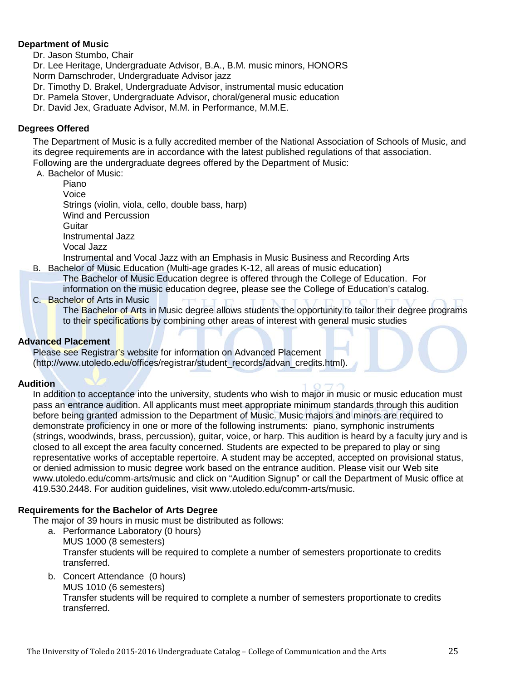#### **[Department of Music](http://www.utoledo.edu/as/music/index.html)**

Dr. Jason Stumbo, Chair

Dr. Lee Heritage, Undergraduate Advisor, B.A., B.M. music minors, HONORS Norm Damschroder, Undergraduate Advisor jazz

- Dr. Timothy D. Brakel, Undergraduate Advisor, instrumental music education
- Dr. Pamela Stover, Undergraduate Advisor, choral/general music education
- Dr. David Jex, Graduate Advisor, M.M. in Performance, M.M.E.

#### **Degrees Offered**

The Department of Music is a fully accredited member of the National Association of Schools of Music, and its degree requirements are in accordance with the latest published regulations of that association. Following are the undergraduate degrees offered by the Department of Music:

A. Bachelor of Music:

Piano Voice Strings (violin, viola, cello, double bass, harp) Wind and Percussion Guitar Instrumental Jazz Vocal Jazz

Instrumental and Vocal Jazz with an Emphasis in Music Business and Recording Arts

- B. Bachelor of Music Education (Multi-age grades K-12, all areas of music education)
	- The Bachelor of Music Education degree is offered through the College of Education. For
	- information on the music education degree, please see the College of Education's catalog.
- C. Bachelor of Arts in Music

The Bachelor of Arts in Music degree allows students the opportunity to tailor their degree programs to their specifications by combining other areas of interest with general music studies

#### **Advanced Placement**

Please see Registrar's website for information on Advanced Placement (http://www.utoledo.edu/offices/registrar/student\_records/advan\_credits.html).

#### **Audition**

In addition to acceptance into the university, students who wish to major in music or music education must pass an entrance audition. All applicants must meet appropriate minimum standards through this audition before being granted admission to the Department of Music. Music majors and minors are required to demonstrate proficiency in one or more of the following instruments: piano, symphonic instruments (strings, woodwinds, brass, percussion), guitar, voice, or harp. This audition is heard by a faculty jury and is closed to all except the area faculty concerned. Students are expected to be prepared to play or sing representative works of acceptable repertoire. A student may be accepted, accepted on provisional status, or denied admission to music degree work based on the entrance audition. Please visit our Web site www.utoledo.edu/comm-arts/music and click on "Audition Signup" or call the Department of Music office at 419.530.2448. For audition guidelines, visit www.utoledo.edu/comm-arts/music.

#### **Requirements for the Bachelor of Arts Degree**

The major of 39 hours in music must be distributed as follows:

- a. Performance Laboratory (0 hours) MUS 1000 (8 semesters) Transfer students will be required to complete a number of semesters proportionate to credits transferred.
- b. Concert Attendance (0 hours) MUS 1010 (6 semesters) Transfer students will be required to complete a number of semesters proportionate to credits transferred.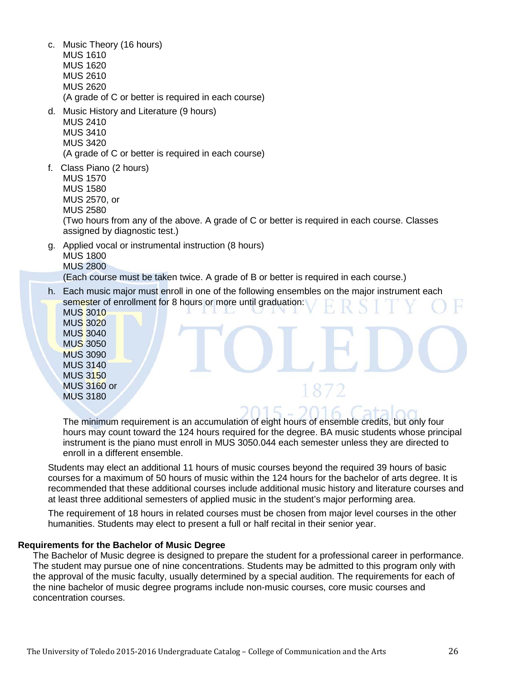- c. Music Theory (16 hours) MUS 1610 MUS 1620 MUS 2610 MUS 2620 (A grade of C or better is required in each course)
- d. Music History and Literature (9 hours) MUS 2410 MUS 3410 MUS 3420

(A grade of C or better is required in each course)

f. Class Piano (2 hours) MUS 1570 MUS 1580 MUS 2570, or MUS 2580

(Two hours from any of the above. A grade of C or better is required in each course. Classes assigned by diagnostic test.)

g. Applied vocal or instrumental instruction (8 hours) MUS 1800 MUS 2800

(Each course must be taken twice. A grade of B or better is required in each course.)

h. Each music major must enroll in one of the following ensembles on the major instrument each semester of enrollment for 8 hours or more until graduation:

MUS 3010 MUS 3020 MUS 3040 MUS 3050 MUS 3090 MUS 3140 MUS 3150 MUS 3160 or MUS 3180

The minimum requirement is an accumulation of eight hours of ensemble credits, but only four hours may count toward the 124 hours required for the degree. BA music students whose principal instrument is the piano must enroll in MUS 3050.044 each semester unless they are directed to enroll in a different ensemble.

Students may elect an additional 11 hours of music courses beyond the required 39 hours of basic courses for a maximum of 50 hours of music within the 124 hours for the bachelor of arts degree. It is recommended that these additional courses include additional music history and literature courses and at least three additional semesters of applied music in the student's major performing area.

The requirement of 18 hours in related courses must be chosen from major level courses in the other humanities. Students may elect to present a full or half recital in their senior year.

#### **Requirements for the Bachelor of Music Degree**

The Bachelor of Music degree is designed to prepare the student for a professional career in performance. The student may pursue one of nine concentrations. Students may be admitted to this program only with the approval of the music faculty, usually determined by a special audition. The requirements for each of the nine bachelor of music degree programs include non-music courses, core music courses and concentration courses.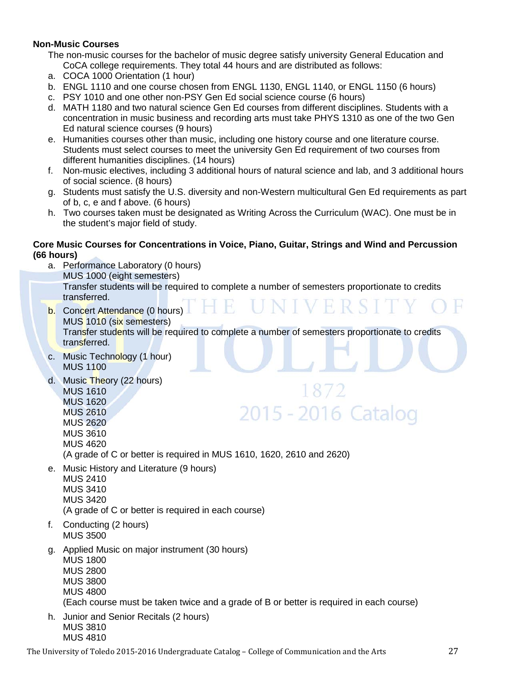#### **Non-Music Courses**

The non-music courses for the bachelor of music degree satisfy university General Education and CoCA college requirements. They total 44 hours and are distributed as follows:

- a. COCA 1000 Orientation (1 hour)
- b. ENGL 1110 and one course chosen from ENGL 1130, ENGL 1140, or ENGL 1150 (6 hours)
- c. PSY 1010 and one other non-PSY Gen Ed social science course (6 hours)
- d. MATH 1180 and two natural science Gen Ed courses from different disciplines. Students with a concentration in music business and recording arts must take PHYS 1310 as one of the two Gen Ed natural science courses (9 hours)
- e. Humanities courses other than music, including one history course and one literature course. Students must select courses to meet the university Gen Ed requirement of two courses from different humanities disciplines. (14 hours)
- f. Non-music electives, including 3 additional hours of natural science and lab, and 3 additional hours of social science. (8 hours)
- g. Students must satisfy the U.S. diversity and non-Western multicultural Gen Ed requirements as part of b, c, e and f above. (6 hours)
- h. Two courses taken must be designated as Writing Across the Curriculum (WAC). One must be in the student's major field of study.

#### **Core Music Courses for Concentrations in Voice, Piano, Guitar, Strings and Wind and Percussion (66 hours)**

- a. Performance Laboratory (0 hours) MUS 1000 (eight semesters) Transfer students will be required to complete a number of semesters proportionate to credits transferred.
- b. Concert Attendance (0 hours) MUS 1010 (six semesters) Transfer students will be required to complete a number of semesters proportionate to credits transferred.
- c. Music Technology (1 hour) MUS 1100
- d. Music Theory (22 hours) MUS 1610 MUS 1620 MUS 2610 MUS 2620

# 1872 2015 - 2016 Catalog

MUS 3610

MUS 4620

(A grade of C or better is required in MUS 1610, 1620, 2610 and 2620)

e. Music History and Literature (9 hours)

MUS 2410 MUS 3410 MUS 3420 (A grade of C or better is required in each course)

- f. Conducting (2 hours) MUS 3500
- g. Applied Music on major instrument (30 hours) MUS 1800 MUS 2800 MUS 3800 MUS 4800

(Each course must be taken twice and a grade of B or better is required in each course)

h. Junior and Senior Recitals (2 hours) MUS 3810 MUS 4810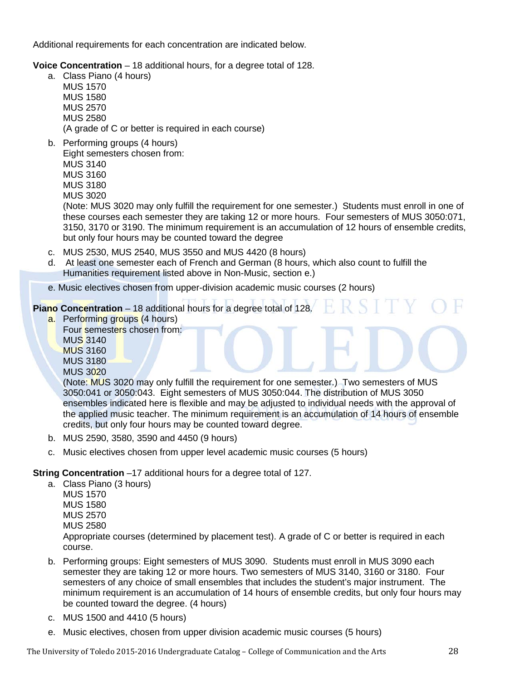Additional requirements for each concentration are indicated below.

**Voice Concentration** – 18 additional hours, for a degree total of 128.

- a. Class Piano (4 hours) MUS 1570 MUS 1580 MUS 2570 MUS 2580 (A grade of C or better is required in each course)
- b. Performing groups (4 hours) Eight semesters chosen from: MUS 3140 MUS 3160 MUS 3180 MUS 3020

(Note: MUS 3020 may only fulfill the requirement for one semester.) Students must enroll in one of these courses each semester they are taking 12 or more hours. Four semesters of MUS 3050:071, 3150, 3170 or 3190. The minimum requirement is an accumulation of 12 hours of ensemble credits, but only four hours may be counted toward the degree

- c. MUS 2530, MUS 2540, MUS 3550 and MUS 4420 (8 hours)
- d. At least one semester each of French and German (8 hours, which also count to fulfill the Humanities requirement listed above in Non-Music, section e.)
- e. Music electives chosen from upper-division academic music courses (2 hours)

**Piano Concentration** – 18 additional hours for a degree total of 128.

- a. Performing groups (4 hours) Four semesters chosen from: MUS 3140 MUS 3160 MUS 3180
	- MUS 3020

(Note: MUS 3020 may only fulfill the requirement for one semester.) Two semesters of MUS 3050:041 or 3050:043. Eight semesters of MUS 3050:044. The distribution of MUS 3050 ensembles indicated here is flexible and may be adjusted to individual needs with the approval of the applied music teacher. The minimum requirement is an accumulation of 14 hours of ensemble credits, but only four hours may be counted toward degree.

- b. MUS 2590, 3580, 3590 and 4450 (9 hours)
- c. Music electives chosen from upper level academic music courses (5 hours)

#### **String Concentration** –17 additional hours for a degree total of 127.

a. Class Piano (3 hours)

MUS 1570 MUS 1580 MUS 2570 MUS 2580 Appropriate courses (determined by placement test). A grade of C or better is required in each course.

- b. Performing groups: Eight semesters of MUS 3090. Students must enroll in MUS 3090 each semester they are taking 12 or more hours. Two semesters of MUS 3140, 3160 or 3180. Four semesters of any choice of small ensembles that includes the student's major instrument. The minimum requirement is an accumulation of 14 hours of ensemble credits, but only four hours may be counted toward the degree. (4 hours)
- c. MUS 1500 and 4410 (5 hours)
- e. Music electives, chosen from upper division academic music courses (5 hours)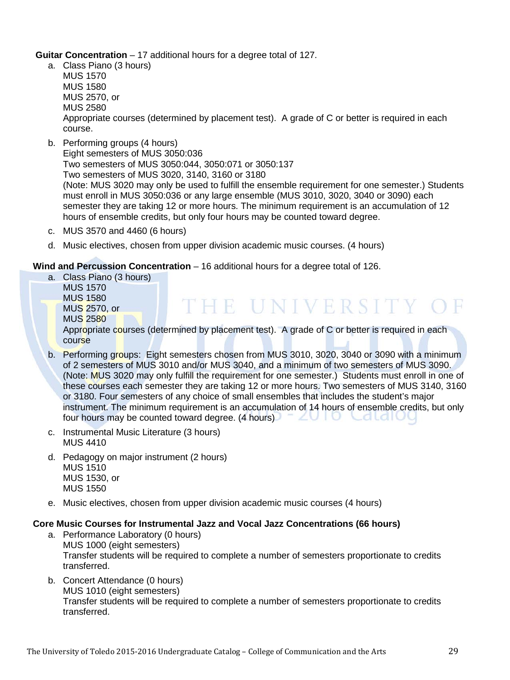**Guitar Concentration** – 17 additional hours for a degree total of 127.

a. Class Piano (3 hours)

MUS 1570 MUS 1580 MUS 2570, or MUS 2580 Appropriate courses (determined by placement test). A grade of C or better is required in each course.

b. Performing groups (4 hours) Eight semesters of MUS 3050:036 Two semesters of MUS 3050:044, 3050:071 or 3050:137 Two semesters of MUS 3020, 3140, 3160 or 3180

(Note: MUS 3020 may only be used to fulfill the ensemble requirement for one semester.) Students must enroll in MUS 3050:036 or any large ensemble (MUS 3010, 3020, 3040 or 3090) each semester they are taking 12 or more hours. The minimum requirement is an accumulation of 12 hours of ensemble credits, but only four hours may be counted toward degree.

- c. MUS 3570 and 4460 (6 hours)
- d. Music electives, chosen from upper division academic music courses. (4 hours)

#### **Wind and Percussion Concentration** – 16 additional hours for a degree total of 126.

a. Class Piano (3 hours) MUS 1570 MUS 1580 THE UNIVERSITY OF MUS 2570, or MUS 2580 Appropriate courses (determined by placement test). A grade of C or better is required in each course

- b. Performing groups: Eight semesters chosen from MUS 3010, 3020, 3040 or 3090 with a minimum of 2 semesters of MUS 3010 and/or MUS 3040, and a minimum of two semesters of MUS 3090. (Note: MUS 3020 may only fulfill the requirement for one semester.) Students must enroll in one of these courses each semester they are taking 12 or more hours. Two semesters of MUS 3140, 3160 or 3180. Four semesters of any choice of small ensembles that includes the student's major instrument. The minimum requirement is an accumulation of 14 hours of ensemble credits, but only four hours may be counted toward degree. (4 hours) - ZVIO CaldiOC
- c. Instrumental Music Literature (3 hours) MUS 4410
- d. Pedagogy on major instrument (2 hours) MUS 1510 MUS 1530, or MUS 1550
- e. Music electives, chosen from upper division academic music courses (4 hours)

#### **Core Music Courses for Instrumental Jazz and Vocal Jazz Concentrations (66 hours)**

- a. Performance Laboratory (0 hours) MUS 1000 (eight semesters) Transfer students will be required to complete a number of semesters proportionate to credits transferred.
- b. Concert Attendance (0 hours) MUS 1010 (eight semesters) Transfer students will be required to complete a number of semesters proportionate to credits transferred.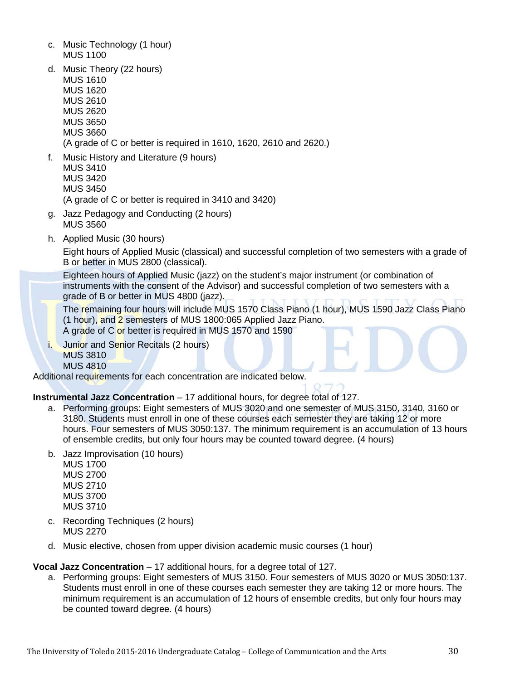- c. Music Technology (1 hour) MUS 1100
- d. Music Theory (22 hours) MUS 1610 MUS 1620 MUS 2610 MUS 2620 MUS 3650 MUS 3660 (A grade of C or better is required in 1610, 1620, 2610 and 2620.)
- f. Music History and Literature (9 hours) MUS 3410 MUS 3420 MUS 3450 (A grade of C or better is required in 3410 and 3420)
- g. Jazz Pedagogy and Conducting (2 hours) MUS 3560
- h. Applied Music (30 hours)

Eight hours of Applied Music (classical) and successful completion of two semesters with a grade of B or better in MUS 2800 (classical).

Eighteen hours of Applied Music (jazz) on the student's major instrument (or combination of instruments with the consent of the Advisor) and successful completion of two semesters with a grade of B or better in MUS 4800 (jazz).

The remaining four hours will include MUS 1570 Class Piano (1 hour), MUS 1590 Jazz Class Piano (1 hour), and 2 semesters of MUS 1800:065 Applied Jazz Piano. A grade of C or better is required in MUS 1570 and 1590

i. Junior and Senior Recitals (2 hours) MUS 3810 MUS 4810

Additional requirements for each concentration are indicated below.

**Instrumental Jazz Concentration** – 17 additional hours, for degree total of 127.

- a. Performing groups: Eight semesters of MUS 3020 and one semester of MUS 3150, 3140, 3160 or 3180. Students must enroll in one of these courses each semester they are taking 12 or more hours. Four semesters of MUS 3050:137. The minimum requirement is an accumulation of 13 hours of ensemble credits, but only four hours may be counted toward degree. (4 hours)
- b. Jazz Improvisation (10 hours)
	- MUS 1700 MUS 2700 MUS 2710 MUS 3700 MUS 3710
- c. Recording Techniques (2 hours) MUS 2270
- d. Music elective, chosen from upper division academic music courses (1 hour)

**Vocal Jazz Concentration** – 17 additional hours, for a degree total of 127.

a. Performing groups: Eight semesters of MUS 3150. Four semesters of MUS 3020 or MUS 3050:137. Students must enroll in one of these courses each semester they are taking 12 or more hours. The minimum requirement is an accumulation of 12 hours of ensemble credits, but only four hours may be counted toward degree. (4 hours)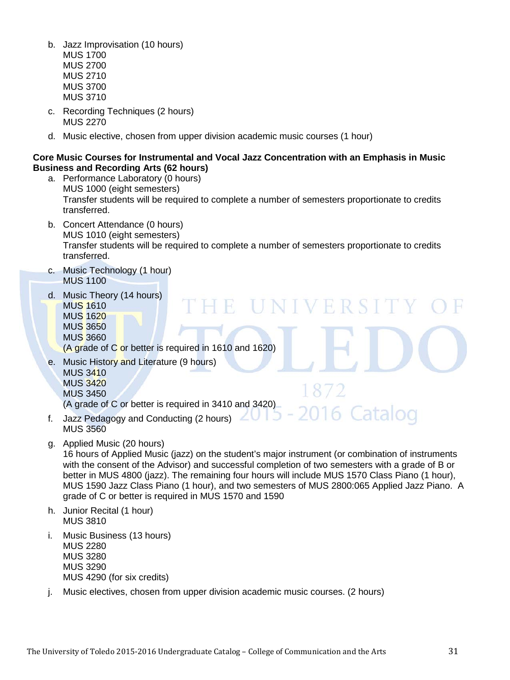- b. Jazz Improvisation (10 hours) MUS 1700
	- MUS 2700 MUS 2710 MUS 3700 MUS 3710
- c. Recording Techniques (2 hours) MUS 2270
- d. Music elective, chosen from upper division academic music courses (1 hour)

#### **Core Music Courses for Instrumental and Vocal Jazz Concentration with an Emphasis in Music Business and Recording Arts (62 hours)**

- a. Performance Laboratory (0 hours) MUS 1000 (eight semesters) Transfer students will be required to complete a number of semesters proportionate to credits transferred.
- b. Concert Attendance (0 hours) MUS 1010 (eight semesters) Transfer students will be required to complete a number of semesters proportionate to credits transferred.

E UNIVERSIT

016 Catalog

- c. Music Technology (1 hour) MUS 1100
- d. Music Theory (14 hours) MUS 1610 MUS 1620 MUS 3650 MUS 3660

(A grade of C or better is required in 1610 and 1620)

- e. Music History and Literature (9 hours) MUS 3410 MUS 3420 MUS 3450 (A grade of C or better is required in 3410 and 3420)
- f. Jazz Pedagogy and Conducting (2 hours) MUS 3560
- g. Applied Music (20 hours)

16 hours of Applied Music (jazz) on the student's major instrument (or combination of instruments with the consent of the Advisor) and successful completion of two semesters with a grade of B or better in MUS 4800 (jazz). The remaining four hours will include MUS 1570 Class Piano (1 hour), MUS 1590 Jazz Class Piano (1 hour), and two semesters of MUS 2800:065 Applied Jazz Piano. A grade of C or better is required in MUS 1570 and 1590

- h. Junior Recital (1 hour) MUS 3810
- i. Music Business (13 hours) MUS 2280 MUS 3280 MUS 3290 MUS 4290 (for six credits)
- j. Music electives, chosen from upper division academic music courses. (2 hours)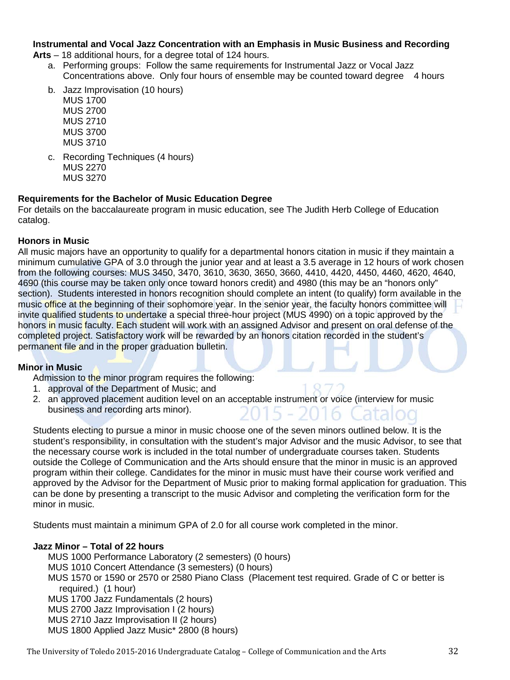### **Instrumental and Vocal Jazz Concentration with an Emphasis in Music Business and Recording**

**Arts** – 18 additional hours, for a degree total of 124 hours.

- a. Performing groups: Follow the same requirements for Instrumental Jazz or Vocal Jazz Concentrations above. Only four hours of ensemble may be counted toward degree 4 hours
- b. Jazz Improvisation (10 hours) MUS 1700 MUS 2700

MUS 2710 MUS 3700 MUS 3710

c. Recording Techniques (4 hours) MUS 2270 MUS 3270

#### **Requirements for the Bachelor of Music Education Degree**

For details on the baccalaureate program in music education, see The Judith Herb College of Education catalog.

#### **Honors in Music**

All music majors have an opportunity to qualify for a departmental honors citation in music if they maintain a minimum cumulative GPA of 3.0 through the junior year and at least a 3.5 average in 12 hours of work chosen from the following courses: MUS 3450, 3470, 3610, 3630, 3650, 3660, 4410, 4420, 4450, 4460, 4620, 4640, 4690 (this course may be taken only once toward honors credit) and 4980 (this may be an "honors only" section). Students interested in honors recognition should complete an intent (to qualify) form available in the music office at the beginning of their sophomore year. In the senior year, the faculty honors committee will invite qualified students to undertake a special three-hour project (MUS 4990) on a topic approved by the honors in music faculty. Each student will work with an assigned Advisor and present on oral defense of the completed project. Satisfactory work will be rewarded by an honors citation recorded in the student's permanent file and in the proper graduation bulletin.

#### **Minor in Music**

Admission to the minor program requires the following:

- 1. approval of the Department of Music; and
- 2. an approved placement audition level on an acceptable instrument or voice (interview for music business and recording arts minor).

Students electing to pursue a minor in music choose one of the seven minors outlined below. It is the student's responsibility, in consultation with the student's major Advisor and the music Advisor, to see that the necessary course work is included in the total number of undergraduate courses taken. Students outside the College of Communication and the Arts should ensure that the minor in music is an approved program within their college. Candidates for the minor in music must have their course work verified and approved by the Advisor for the Department of Music prior to making formal application for graduation. This can be done by presenting a transcript to the music Advisor and completing the verification form for the minor in music.

Students must maintain a minimum GPA of 2.0 for all course work completed in the minor.

#### **Jazz Minor – Total of 22 hours**

MUS 1000 Performance Laboratory (2 semesters) (0 hours) MUS 1010 Concert Attendance (3 semesters) (0 hours) MUS 1570 or 1590 or 2570 or 2580 Piano Class (Placement test required. Grade of C or better is required.) (1 hour) MUS 1700 Jazz Fundamentals (2 hours) MUS 2700 Jazz Improvisation I (2 hours) MUS 2710 Jazz Improvisation II (2 hours) MUS 1800 Applied Jazz Music\* 2800 (8 hours)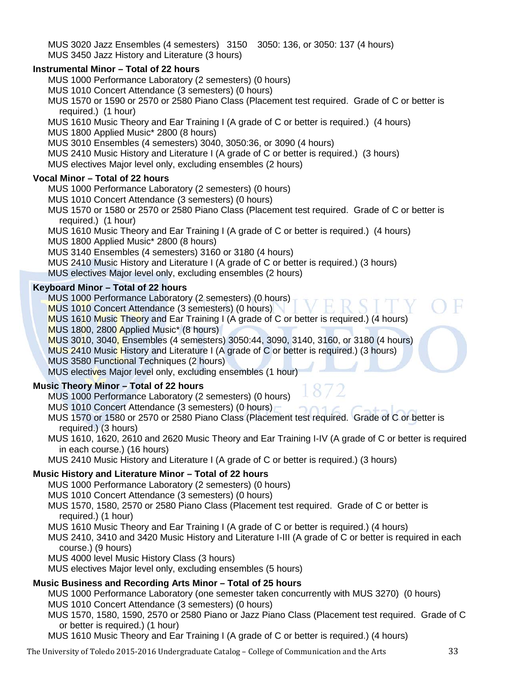MUS 3020 Jazz Ensembles (4 semesters) 3150 3050: 136, or 3050: 137 (4 hours) MUS 3450 Jazz History and Literature (3 hours)

#### **Instrumental Minor – Total of 22 hours**

MUS 1000 Performance Laboratory (2 semesters) (0 hours)

- MUS 1010 Concert Attendance (3 semesters) (0 hours)
- MUS 1570 or 1590 or 2570 or 2580 Piano Class (Placement test required. Grade of C or better is required.) (1 hour)
- MUS 1610 Music Theory and Ear Training I (A grade of C or better is required.) (4 hours)
- MUS 1800 Applied Music\* 2800 (8 hours)
- MUS 3010 Ensembles (4 semesters) 3040, 3050:36, or 3090 (4 hours)
- MUS 2410 Music History and Literature I (A grade of C or better is required.) (3 hours)
- MUS electives Major level only, excluding ensembles (2 hours)

#### **Vocal Minor – Total of 22 hours**

- MUS 1000 Performance Laboratory (2 semesters) (0 hours)
- MUS 1010 Concert Attendance (3 semesters) (0 hours)
- MUS 1570 or 1580 or 2570 or 2580 Piano Class (Placement test required. Grade of C or better is required.) (1 hour)
- MUS 1610 Music Theory and Ear Training I (A grade of C or better is required.) (4 hours)
- MUS 1800 Applied Music\* 2800 (8 hours)
- MUS 3140 Ensembles (4 semesters) 3160 or 3180 (4 hours)
- MUS 2410 Music History and Literature I (A grade of C or better is required.) (3 hours)
- MUS electives Major level only, excluding ensembles (2 hours)

#### **Keyboard Minor – Total of 22 hours**

- MUS 1000 Performance Laboratory (2 semesters) (0 hours)
- MUS 1010 Concert Attendance (3 semesters) (0 hours)
- MUS 1610 Music Theory and Ear Training I (A grade of C or better is required.) (4 hours)
- MUS 1800, 2800 Applied Music\* (8 hours)
- MUS 3010, 3040, Ensembles (4 semesters) 3050:44, 3090, 3140, 3160, or 3180 (4 hours)
- MUS 2410 Music History and Literature I (A grade of C or better is required.) (3 hours)
- MUS 3580 Functional Techniques (2 hours)

MUS electives Major level only, excluding ensembles (1 hour)

#### **Music Theory Minor – Total of 22 hours**

MUS 1000 Performance Laboratory (2 semesters) (0 hours)

- MUS 1010 Concert Attendance (3 semesters) (0 hours)
- MUS 1570 or 1580 or 2570 or 2580 Piano Class (Placement test required. Grade of C or better is required.) (3 hours)
- MUS 1610, 1620, 2610 and 2620 Music Theory and Ear Training I-IV (A grade of C or better is required in each course.) (16 hours)
- MUS 2410 Music History and Literature I (A grade of C or better is required.) (3 hours)

#### **Music History and Literature Minor – Total of 22 hours**

MUS 1000 Performance Laboratory (2 semesters) (0 hours)

- MUS 1010 Concert Attendance (3 semesters) (0 hours)
- MUS 1570, 1580, 2570 or 2580 Piano Class (Placement test required. Grade of C or better is required.) (1 hour)
- MUS 1610 Music Theory and Ear Training I (A grade of C or better is required.) (4 hours)
- MUS 2410, 3410 and 3420 Music History and Literature I-III (A grade of C or better is required in each course.) (9 hours)
- MUS 4000 level Music History Class (3 hours)
- MUS electives Major level only, excluding ensembles (5 hours)

#### **Music Business and Recording Arts Minor – Total of 25 hours**

- MUS 1000 Performance Laboratory (one semester taken concurrently with MUS 3270) (0 hours)
- MUS 1010 Concert Attendance (3 semesters) (0 hours)
- MUS 1570, 1580, 1590, 2570 or 2580 Piano or Jazz Piano Class (Placement test required. Grade of C or better is required.) (1 hour)
- MUS 1610 Music Theory and Ear Training I (A grade of C or better is required.) (4 hours)

The University of Toledo 2015-2016 Undergraduate Catalog – College of Communication and the Arts 33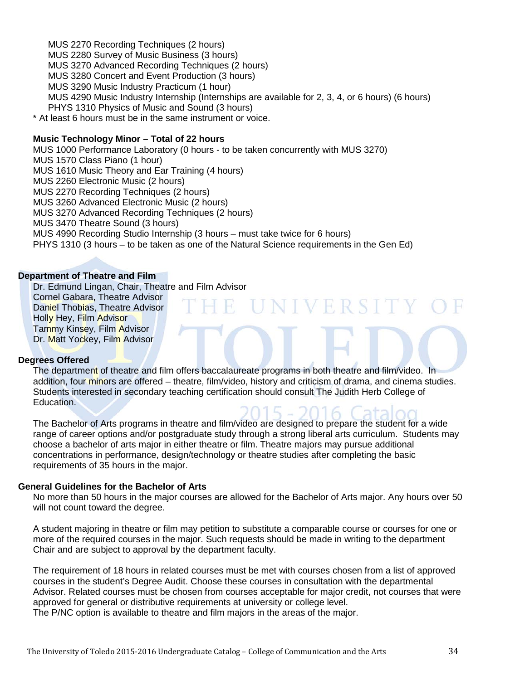MUS 2270 Recording Techniques (2 hours) MUS 2280 Survey of Music Business (3 hours) MUS 3270 Advanced Recording Techniques (2 hours) MUS 3280 Concert and Event Production (3 hours) MUS 3290 Music Industry Practicum (1 hour) MUS 4290 Music Industry Internship (Internships are available for 2, 3, 4, or 6 hours) (6 hours) PHYS 1310 Physics of Music and Sound (3 hours) \* At least 6 hours must be in the same instrument or voice.

#### **Music Technology Minor – Total of 22 hours**

MUS 1000 Performance Laboratory (0 hours - to be taken concurrently with MUS 3270) MUS 1570 Class Piano (1 hour) MUS 1610 Music Theory and Ear Training (4 hours) MUS 2260 Electronic Music (2 hours) MUS 2270 Recording Techniques (2 hours) MUS 3260 Advanced Electronic Music (2 hours) MUS 3270 Advanced Recording Techniques (2 hours) MUS 3470 Theatre Sound (3 hours) MUS 4990 Recording Studio Internship (3 hours – must take twice for 6 hours) PHYS 1310 (3 hours – to be taken as one of the Natural Science requirements in the Gen Ed)

#### **[Department of Theatre and Film](http://www.utoledo.edu/as/theatrefilm/index.html)**

Dr. Edmund Lingan, Chair, Theatre and Film Advisor

Cornel Gabara, Theatre Advisor Daniel Thobias, Theatre Advisor Holly Hey, Film Advisor Tammy Kinsey, Film Advisor Dr. Matt Yockey, Film Advisor

#### **Degrees Offered**

The department of theatre and film offers baccalaureate programs in both theatre and film/video. In addition, four minors are offered – theatre, film/video, history and criticism of drama, and cinema studies. Students interested in secondary teaching certification should consult The Judith Herb College of Education.

E UNIVERSITY

The Bachelor of Arts programs in theatre and film/video are designed to prepare the student for a wide range of career options and/or postgraduate study through a strong liberal arts curriculum. Students may choose a bachelor of arts major in either theatre or film. Theatre majors may pursue additional concentrations in performance, design/technology or theatre studies after completing the basic requirements of 35 hours in the major.

#### **General Guidelines for the Bachelor of Arts**

No more than 50 hours in the major courses are allowed for the Bachelor of Arts major. Any hours over 50 will not count toward the degree.

A student majoring in theatre or film may petition to substitute a comparable course or courses for one or more of the required courses in the major. Such requests should be made in writing to the department Chair and are subject to approval by the department faculty.

The requirement of 18 hours in related courses must be met with courses chosen from a list of approved courses in the student's Degree Audit. Choose these courses in consultation with the departmental Advisor. Related courses must be chosen from courses acceptable for major credit, not courses that were approved for general or distributive requirements at university or college level. The P/NC option is available to theatre and film majors in the areas of the major.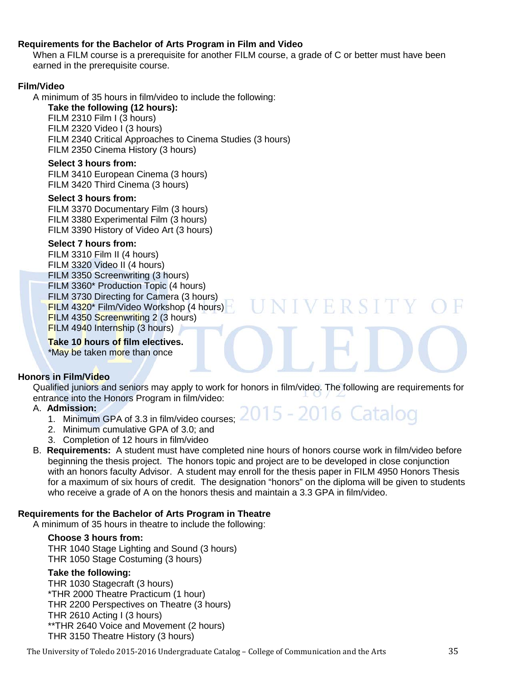#### **Requirements for the Bachelor of Arts Program in Film and Video**

When a FILM course is a prerequisite for another FILM course, a grade of C or better must have been earned in the prerequisite course.

#### **Film/Video**

A minimum of 35 hours in film/video to include the following:

**Take the following (12 hours):** FILM 2310 Film I (3 hours) FILM 2320 Video I (3 hours) FILM 2340 Critical Approaches to Cinema Studies (3 hours) FILM 2350 Cinema History (3 hours)

#### **Select 3 hours from:**

FILM 3410 European Cinema (3 hours) FILM 3420 Third Cinema (3 hours)

#### **Select 3 hours from:**

FILM 3370 Documentary Film (3 hours) FILM 3380 Experimental Film (3 hours) FILM 3390 History of Video Art (3 hours)

#### **Select 7 hours from:**

FILM 3310 Film II (4 hours) FILM 3320 Video II (4 hours) FILM 3350 Screenwriting (3 hours) FILM 3360\* Production Topic (4 hours) FILM 3730 Directing for Camera (3 hours) FILM 4320\* Film/Video Workshop (4 hours) FILM 4350 Screenwriting 2 (3 hours) FILM 4940 Internship (3 hours)

#### **Take 10 hours of film electives.**

\*May be taken more than once

#### **Honors in Film/Video**

Qualified juniors and seniors may apply to work for honors in film/video. The following are requirements for entrance into the Honors Program in film/video:

NIVERSITY

015 - 2016 Catalog

#### A. **Admission:**

- 1. Minimum GPA of 3.3 in film/video courses;
- 2. Minimum cumulative GPA of 3.0; and
- 3. Completion of 12 hours in film/video
- B. **Requirements:** A student must have completed nine hours of honors course work in film/video before beginning the thesis project. The honors topic and project are to be developed in close conjunction with an honors faculty Advisor. A student may enroll for the thesis paper in FILM 4950 Honors Thesis for a maximum of six hours of credit. The designation "honors" on the diploma will be given to students who receive a grade of A on the honors thesis and maintain a 3.3 GPA in film/video.

#### **Requirements for the Bachelor of Arts Program in Theatre**

A minimum of 35 hours in theatre to include the following:

#### **Choose 3 hours from:**

THR 1040 Stage Lighting and Sound (3 hours) THR 1050 Stage Costuming (3 hours)

#### **Take the following:**

THR 1030 Stagecraft (3 hours) \*THR 2000 Theatre Practicum (1 hour) THR 2200 Perspectives on Theatre (3 hours) THR 2610 Acting I (3 hours) \*\*THR 2640 Voice and Movement (2 hours) THR 3150 Theatre History (3 hours)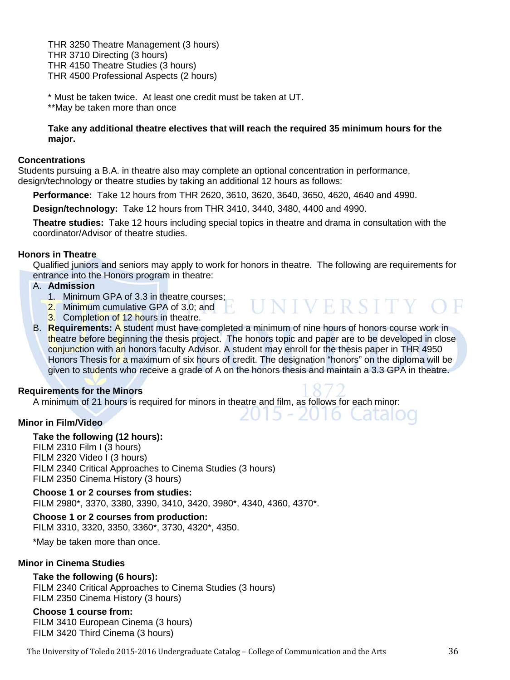THR 3250 Theatre Management (3 hours) THR 3710 Directing (3 hours) THR 4150 Theatre Studies (3 hours) THR 4500 Professional Aspects (2 hours)

\* Must be taken twice. At least one credit must be taken at UT. \*\*May be taken more than once

#### **Take any additional theatre electives that will reach the required 35 minimum hours for the major.**

#### **Concentrations**

Students pursuing a B.A. in theatre also may complete an optional concentration in performance, design/technology or theatre studies by taking an additional 12 hours as follows:

**Performance:** Take 12 hours from THR 2620, 3610, 3620, 3640, 3650, 4620, 4640 and 4990.

**Design/technology:** Take 12 hours from THR 3410, 3440, 3480, 4400 and 4990.

**Theatre studies:** Take 12 hours including special topics in theatre and drama in consultation with the coordinator/Advisor of theatre studies.

#### **Honors in Theatre**

Qualified juniors and seniors may apply to work for honors in theatre. The following are requirements for entrance into the Honors program in theatre:

**UNIVERSITY** 

2016 Catalog

#### A. **Admission**

- 1. Minimum GPA of 3.3 in theatre courses;
- 2. Minimum cumulative GPA of 3.0; and
- 3. Completion of 12 hours in theatre.
- B. **Requirements:** A student must have completed a minimum of nine hours of honors course work in theatre before beginning the thesis project. The honors topic and paper are to be developed in close conjunction with an honors faculty Advisor. A student may enroll for the thesis paper in THR 4950 Honors Thesis for a maximum of six hours of credit. The designation "honors" on the diploma will be given to students who receive a grade of A on the honors thesis and maintain a 3.3 GPA in theatre.

#### **Requirements for the Minors**

A minimum of 21 hours is required for minors in theatre and film, as follows for each minor:

#### **Minor in Film/Video**

#### **Take the following (12 hours):**

FILM 2310 Film I (3 hours) FILM 2320 Video I (3 hours) FILM 2340 Critical Approaches to Cinema Studies (3 hours) FILM 2350 Cinema History (3 hours)

**Choose 1 or 2 courses from studies:** FILM 2980\*, 3370, 3380, 3390, 3410, 3420, 3980\*, 4340, 4360, 4370\*.

**Choose 1 or 2 courses from production:** FILM 3310, 3320, 3350, 3360\*, 3730, 4320\*, 4350.

\*May be taken more than once.

#### **Minor in Cinema Studies**

#### **Take the following (6 hours):**

FILM 2340 Critical Approaches to Cinema Studies (3 hours) FILM 2350 Cinema History (3 hours)

#### **Choose 1 course from:**

FILM 3410 European Cinema (3 hours) FILM 3420 Third Cinema (3 hours)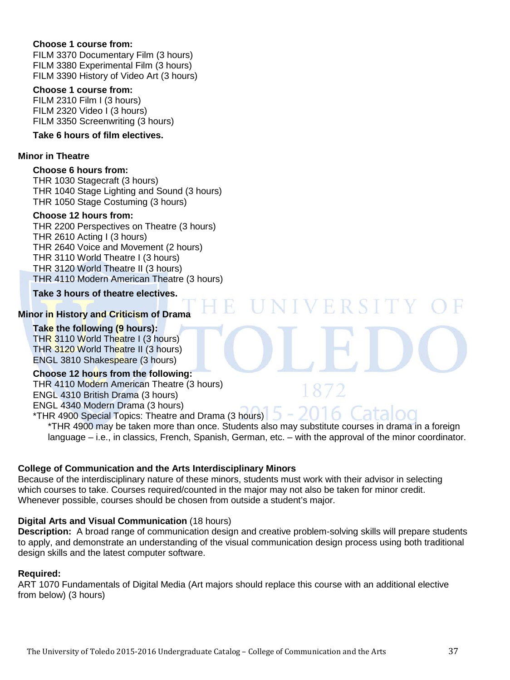#### **Choose 1 course from:**

FILM 3370 Documentary Film (3 hours) FILM 3380 Experimental Film (3 hours) FILM 3390 History of Video Art (3 hours)

#### **Choose 1 course from:**

FILM 2310 Film I (3 hours) FILM 2320 Video I (3 hours) FILM 3350 Screenwriting (3 hours)

#### **Take 6 hours of film electives.**

#### **Minor in Theatre**

#### **Choose 6 hours from:**

THR 1030 Stagecraft (3 hours) THR 1040 Stage Lighting and Sound (3 hours) THR 1050 Stage Costuming (3 hours)

#### **Choose 12 hours from:**

THR 2200 Perspectives on Theatre (3 hours) THR 2610 Acting I (3 hours) THR 2640 Voice and Movement (2 hours) THR 3110 World Theatre I (3 hours) THR 3120 World Theatre II (3 hours) THR 4110 Modern American Theatre (3 hours)

**Take 3 hours of theatre electives.**

#### **Minor in History and Criticism of Drama**

#### **Take the following (9 hours):**

THR 3110 World Theatre I (3 hours) THR 3120 World Theatre II (3 hours) ENGL 3810 Shakespeare (3 hours)

#### **Choose 12 hours from the following:**

THR 4110 Modern American Theatre (3 hours) ENGL 4310 British Drama (3 hours) ENGL 4340 Modern Drama (3 hours)

\*THR 4900 Special Topics: Theatre and Drama (3 hours)  $\sqrt{2}$ \*THR 4900 may be taken more than once. Students also may substitute courses in drama in a foreign language – i.e., in classics, French, Spanish, German, etc. – with the approval of the minor coordinator.

**NIVERSI** 

#### **College of Communication and the Arts Interdisciplinary Minors**

Because of the interdisciplinary nature of these minors, students must work with their advisor in selecting which courses to take. Courses required/counted in the major may not also be taken for minor credit. Whenever possible, courses should be chosen from outside a student's major.

#### **Digital Arts and Visual Communication** (18 hours)

**Description:** A broad range of communication design and creative problem-solving skills will prepare students to apply, and demonstrate an understanding of the visual communication design process using both traditional design skills and the latest computer software.

#### **Required:**

ART 1070 Fundamentals of Digital Media (Art majors should replace this course with an additional elective from below) (3 hours)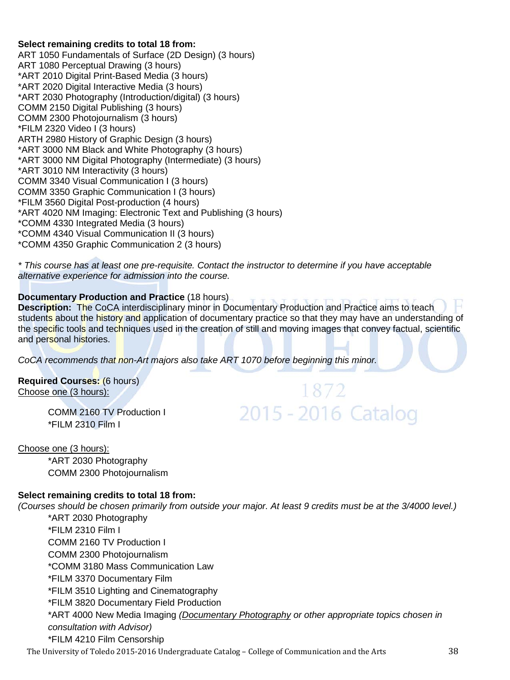#### **Select remaining credits to total 18 from:**

ART 1050 Fundamentals of Surface (2D Design) (3 hours) ART 1080 Perceptual Drawing (3 hours) \*ART 2010 Digital Print-Based Media (3 hours) \*ART 2020 Digital Interactive Media (3 hours) \*ART 2030 Photography (Introduction/digital) (3 hours) COMM 2150 Digital Publishing (3 hours) COMM 2300 Photojournalism (3 hours) \*FILM 2320 Video I (3 hours) ARTH 2980 History of Graphic Design (3 hours) \*ART 3000 NM Black and White Photography (3 hours) \*ART 3000 NM Digital Photography (Intermediate) (3 hours) \*ART 3010 NM Interactivity (3 hours) COMM 3340 Visual Communication I (3 hours) COMM 3350 Graphic Communication I (3 hours) \*FILM 3560 Digital Post-production (4 hours) \*ART 4020 NM Imaging: Electronic Text and Publishing (3 hours) \*COMM 4330 Integrated Media (3 hours) \*COMM 4340 Visual Communication II (3 hours) \*COMM 4350 Graphic Communication 2 (3 hours)

*\* This course has at least one pre-requisite. Contact the instructor to determine if you have acceptable alternative experience for admission into the course.*

### **Documentary Production and Practice** (18 hours)

**Description:** The CoCA interdisciplinary minor in Documentary Production and Practice aims to teach students about the history and application of documentary practice so that they may have an understanding of the specific tools and techniques used in the creation of still and moving images that convey factual, scientific and personal histories.

1872

2015 - 2016 Catalog

*CoCA recommends that non-Art majors also take ART 1070 before beginning this minor.*

**Required Courses:** (6 hours) Choose one (3 hours):

> COMM 2160 TV Production I \*FILM 2310 Film I

#### Choose one (3 hours):

\*ART 2030 Photography COMM 2300 Photojournalism

#### **Select remaining credits to total 18 from:**

*(Courses should be chosen primarily from outside your major. At least 9 credits must be at the 3/4000 level.)*

\*ART 2030 Photography \*FILM 2310 Film I COMM 2160 TV Production I COMM 2300 Photojournalism \*COMM 3180 Mass Communication Law \*FILM 3370 Documentary Film \*FILM 3510 Lighting and Cinematography \*FILM 3820 Documentary Field Production \*ART 4000 New Media Imaging *(Documentary Photography or other appropriate topics chosen in consultation with Advisor)* \*FILM 4210 Film Censorship

The University of Toledo 2015-2016 Undergraduate Catalog – College of Communication and the Arts 38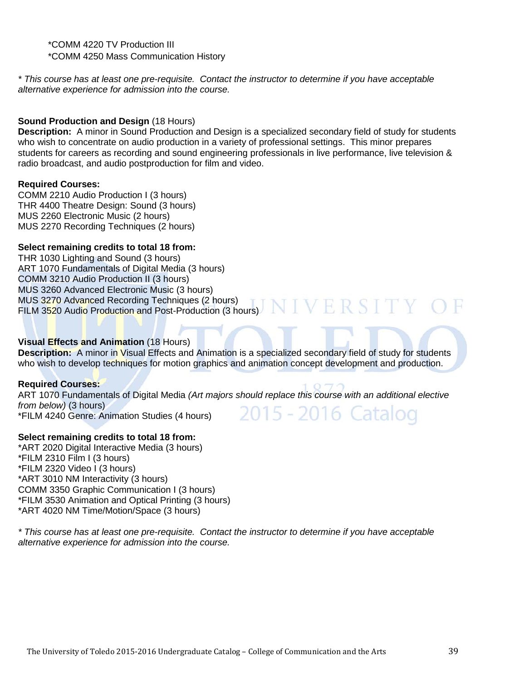\*COMM 4220 TV Production III \*COMM 4250 Mass Communication History

*\* This course has at least one pre-requisite. Contact the instructor to determine if you have acceptable alternative experience for admission into the course.*

#### **Sound Production and Design** (18 Hours)

**Description:** A minor in Sound Production and Design is a specialized secondary field of study for students who wish to concentrate on audio production in a variety of professional settings. This minor prepares students for careers as recording and sound engineering professionals in live performance, live television & radio broadcast, and audio postproduction for film and video.

#### **Required Courses:**

COMM 2210 Audio Production I (3 hours) THR 4400 Theatre Design: Sound (3 hours) MUS 2260 Electronic Music (2 hours) MUS 2270 Recording Techniques (2 hours)

#### **Select remaining credits to total 18 from:**

THR 1030 Lighting and Sound (3 hours) ART 1070 Fundamentals of Digital Media (3 hours) COMM 3210 Audio Production II (3 hours) MUS 3260 Advanced Electronic Music (3 hours) MUS 3270 Advanced Recording Techniques (2 hours) FILM 3520 Audio Production and Post-Production (3 hours)

#### **Visual Effects and Animation** (18 Hours)

**Description:** A minor in Visual Effects and Animation is a specialized secondary field of study for students who wish to develop techniques for motion graphics and animation concept development and production.

#### **Required Courses:**

ART 1070 Fundamentals of Digital Media *(Art majors should replace this course with an additional elective from below)* (3 hours) 2015 - 2016 Catalog \*FILM 4240 Genre: Animation Studies (4 hours)

#### **Select remaining credits to total 18 from:**

\*ART 2020 Digital Interactive Media (3 hours) \*FILM 2310 Film I (3 hours) \*FILM 2320 Video I (3 hours) \*ART 3010 NM Interactivity (3 hours) COMM 3350 Graphic Communication I (3 hours) \*FILM 3530 Animation and Optical Printing (3 hours) \*ART 4020 NM Time/Motion/Space (3 hours)

*\* This course has at least one pre-requisite. Contact the instructor to determine if you have acceptable alternative experience for admission into the course.*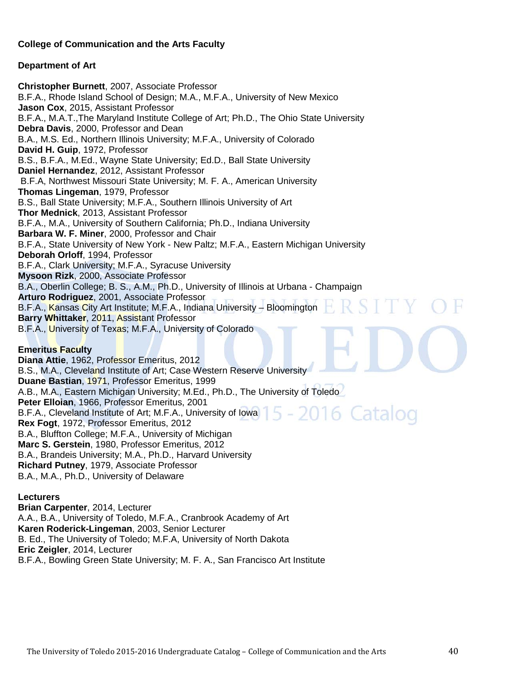#### **College of Communication and the Arts Faculty**

#### **Department of Art**

**Christopher Burnett**, 2007, Associate Professor B.F.A., Rhode Island School of Design; M.A., M.F.A., University of New Mexico **Jason Cox**, 2015, Assistant Professor B.F.A., M.A.T.,The Maryland Institute College of Art; Ph.D., The Ohio State University **Debra Davis**, 2000, Professor and Dean B.A., M.S. Ed., Northern Illinois University; M.F.A., University of Colorado **David H. Guip**, 1972, Professor B.S., B.F.A., M.Ed., Wayne State University; Ed.D., Ball State University **Daniel Hernandez**, 2012, Assistant Professor B.F.A, Northwest Missouri State University; M. F. A., American University **Thomas Lingeman**, 1979, Professor B.S., Ball State University; M.F.A., Southern Illinois University of Art **Thor Mednick**, 2013, Assistant Professor B.F.A., M.A., University of Southern California; Ph.D., Indiana University **Barbara W. F. Miner**, 2000, Professor and Chair B.F.A., State University of New York - New Paltz; M.F.A., Eastern Michigan University **Deborah Orloff**, 1994, Professor B.F.A., Clark University; M.F.A., Syracuse University **Mysoon Rizk**, 2000, Associate Professor B.A., Oberlin College; B. S., A.M., Ph.D., University of Illinois at Urbana - Champaign **Arturo Rodriguez**, 2001, Associate Professor B.F.A., Kansas City Art Institute; M.F.A., Indiana University – Bloomington **Barry Whittaker**, 2011, Assistant Professor B.F.A., University of Texas; M.F.A., University of Colorado

#### **Emeritus Faculty**

**Diana Attie**, 1962, Professor Emeritus, 2012 B.S., M.A., Cleveland Institute of Art; Case Western Reserve University **Duane Bastian**, 1971, Professor Emeritus, 1999 A.B., M.A., Eastern Michigan University; M.Ed., Ph.D., The University of Toledo **Peter Elloian**, 1966, Professor Emeritus, 2001 5 - 2016 Catalog B.F.A., Cleveland Institute of Art; M.F.A., University of Iowa **Rex Fogt**, 1972, Professor Emeritus, 2012 B.A., Bluffton College; M.F.A., University of Michigan **Marc S. Gerstein**, 1980, Professor Emeritus, 2012 B.A., Brandeis University; M.A., Ph.D., Harvard University **Richard Putney**, 1979, Associate Professor B.A., M.A., Ph.D., University of Delaware

#### **Lecturers**

**Brian Carpenter**, 2014, Lecturer A.A., B.A., University of Toledo, M.F.A., Cranbrook Academy of Art **Karen Roderick-Lingeman**, 2003, Senior Lecturer B. Ed., The University of Toledo; M.F.A, University of North Dakota **Eric Zeigler**, 2014, Lecturer B.F.A., Bowling Green State University; M. F. A., San Francisco Art Institute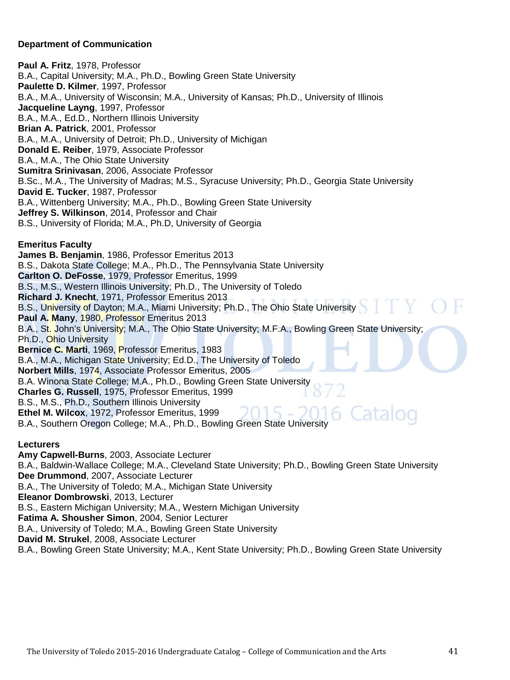#### **Department of Communication**

**Paul A. Fritz**, 1978, Professor B.A., Capital University; M.A., Ph.D., Bowling Green State University **Paulette D. Kilmer**, 1997, Professor B.A., M.A., University of Wisconsin; M.A., University of Kansas; Ph.D., University of Illinois **Jacqueline Layng**, 1997, Professor B.A., M.A., Ed.D., Northern Illinois University **Brian A. Patrick**, 2001, Professor B.A., M.A., University of Detroit; Ph.D., University of Michigan **Donald E. Reiber**, 1979, Associate Professor B.A., M.A., The Ohio State University **Sumitra Srinivasan**, 2006, Associate Professor B.Sc., M.A., The University of Madras; M.S., Syracuse University; Ph.D., Georgia State University **David E. Tucker**, 1987, Professor B.A., Wittenberg University; M.A., Ph.D., Bowling Green State University **Jeffrey S. Wilkinson**, 2014, Professor and Chair B.S., University of Florida; M.A., Ph.D, University of Georgia **Emeritus Faculty James B. Benjamin**, 1986, Professor Emeritus 2013 B.S., Dakota State College; M.A., Ph.D., The Pennsylvania State University **Carlton O. DeFosse**, 1979, Professor Emeritus, 1999 B.S., M.S., Western Illinois University; Ph.D., The University of Toledo **Richard J. Knecht**, 1971, Professor Emeritus 2013

B.S., University of Dayton; M.A., Miami University; Ph.D., The Ohio State University **Paul A. Many**, 1980, Professor Emeritus 2013 B.A., St. John's University; M.A., The Ohio State University; M.F.A., Bowling Green State University; Ph.D., Ohio University **Bernice C. Marti**, 1969, Professor Emeritus, 1983 B.A., M.A., Michigan State University; Ed.D., The University of Toledo **Norbert Mills**, 1974, Associate Professor Emeritus, 2005 B.A. Winona State College; M.A., Ph.D., Bowling Green State University **Charles G. Russell**, 1975, Professor Emeritus, 1999 B.S., M.S., Ph.D., Southern Illinois University **Ethel M. Wilcox**, 1972, Professor Emeritus, 1999

B.A., Southern Oregon College; M.A., Ph.D., Bowling Green State University

**Lecturers**

**Amy Capwell-Burns**, 2003, Associate Lecturer B.A., Baldwin-Wallace College; M.A., Cleveland State University; Ph.D., Bowling Green State University **Dee Drummond**, 2007, Associate Lecturer B.A., The University of Toledo; M.A., Michigan State University **Eleanor Dombrowski**, 2013, Lecturer B.S., Eastern Michigan University; M.A., Western Michigan University **Fatima A. Shousher Simon**, 2004, Senior Lecturer B.A., University of Toledo; M.A., Bowling Green State University **David M. Strukel**, 2008, Associate Lecturer

B.A., Bowling Green State University; M.A., Kent State University; Ph.D., Bowling Green State University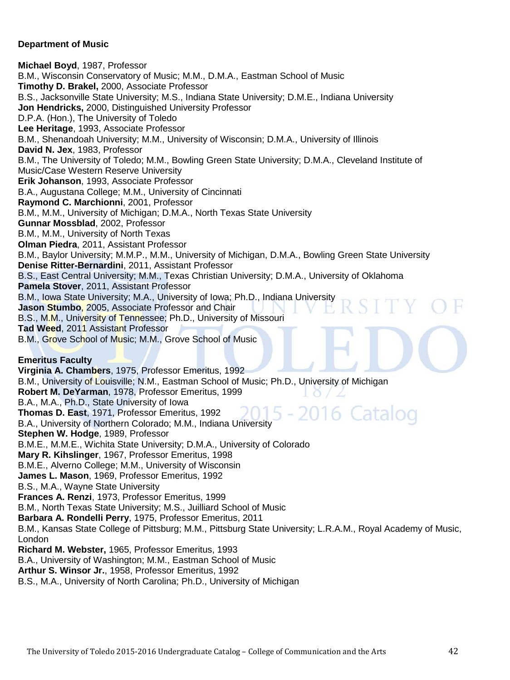#### **Department of Music**

**Michael Boyd**, 1987, Professor B.M., Wisconsin Conservatory of Music; M.M., D.M.A., Eastman School of Music **Timothy D. Brakel,** 2000, Associate Professor B.S., Jacksonville State University; M.S., Indiana State University; D.M.E., Indiana University **Jon Hendricks,** 2000, Distinguished University Professor D.P.A. (Hon.), The University of Toledo **Lee Heritage**, 1993, Associate Professor B.M., Shenandoah University; M.M., University of Wisconsin; D.M.A., University of Illinois **David N. Jex**, 1983, Professor B.M., The University of Toledo; M.M., Bowling Green State University; D.M.A., Cleveland Institute of Music/Case Western Reserve University **Erik Johanson**, 1993, Associate Professor B.A., Augustana College; M.M., University of Cincinnati **Raymond C. Marchionni**, 2001, Professor B.M., M.M., University of Michigan; D.M.A., North Texas State University **Gunnar Mossblad**, 2002, Professor B.M., M.M., University of North Texas **Olman Piedra**, 2011, Assistant Professor B.M., Baylor University; M.M.P., M.M., University of Michigan, D.M.A., Bowling Green State University **Denise Ritter-Bernardini**, 2011, Assistant Professor B.S., East Central University; M.M., Texas Christian University; D.M.A., University of Oklahoma **Pamela Stover**, 2011, Assistant Professor B.M., Iowa State University; M.A., University of Iowa; Ph.D., Indiana University **Jason Stumbo**, 2005, Associate Professor and Chair B.S., M.M., University of Tennessee; Ph.D., University of Missouri **Tad Weed**, 2011 Assistant Professor B.M., Grove School of Music; M.M., Grove School of Music **Emeritus Faculty Virginia A. Chambers**, 1975, Professor Emeritus, 1992 B.M., University of Louisville; N.M., Eastman School of Music; Ph.D., University of Michigan **Robert M. DeYarman**, 1978, Professor Emeritus, 1999 B.A., M.A., Ph.D., State University of Iowa 6 Catalog **Thomas D. East**, 1971, Professor Emeritus, 1992 B.A., University of Northern Colorado; M.M., Indiana University **Stephen W. Hodge**, 1989, Professor B.M.E., M.M.E., Wichita State University; D.M.A., University of Colorado **Mary R. Kihslinger**, 1967, Professor Emeritus, 1998 B.M.E., Alverno College; M.M., University of Wisconsin **James L. Mason**, 1969, Professor Emeritus, 1992 B.S., M.A., Wayne State University **Frances A. Renzi**, 1973, Professor Emeritus, 1999 B.M., North Texas State University; M.S., Juilliard School of Music **Barbara A. Rondelli Perry**, 1975, Professor Emeritus, 2011 B.M., Kansas State College of Pittsburg; M.M., Pittsburg State University; L.R.A.M., Royal Academy of Music, London **Richard M. Webster,** 1965, Professor Emeritus, 1993 B.A., University of Washington; M.M., Eastman School of Music **Arthur S. Winsor Jr.**, 1958, Professor Emeritus, 1992 B.S., M.A., University of North Carolina; Ph.D., University of Michigan